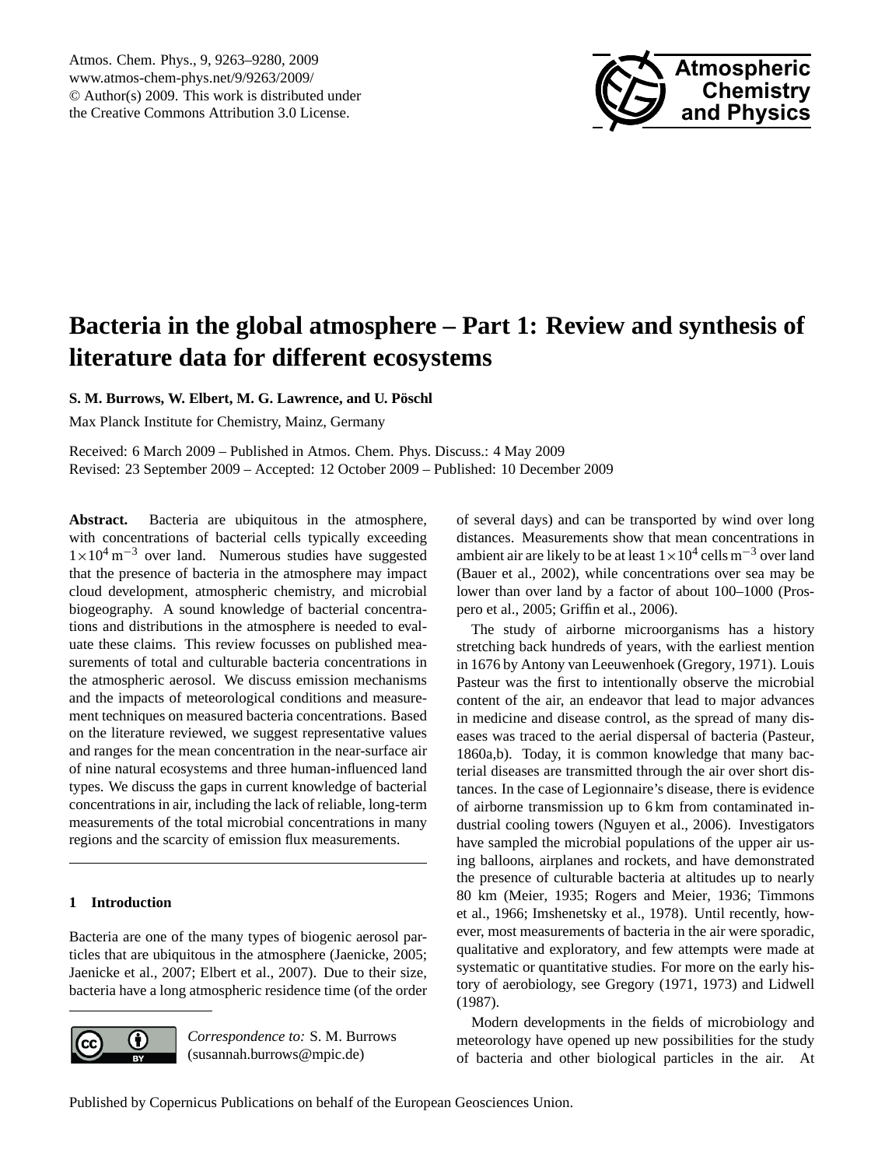

# <span id="page-0-0"></span>**Bacteria in the global atmosphere – Part 1: Review and synthesis of literature data for different ecosystems**

 $S. M.$  Burrows, W. Elbert, M. G. Lawrence, and U. Pöschl

Max Planck Institute for Chemistry, Mainz, Germany

Received: 6 March 2009 – Published in Atmos. Chem. Phys. Discuss.: 4 May 2009 Revised: 23 September 2009 – Accepted: 12 October 2009 – Published: 10 December 2009

**Abstract.** Bacteria are ubiquitous in the atmosphere, with concentrations of bacterial cells typically exceeding  $1\times10^4$  m<sup>-3</sup> over land. Numerous studies have suggested that the presence of bacteria in the atmosphere may impact cloud development, atmospheric chemistry, and microbial biogeography. A sound knowledge of bacterial concentrations and distributions in the atmosphere is needed to evaluate these claims. This review focusses on published measurements of total and culturable bacteria concentrations in the atmospheric aerosol. We discuss emission mechanisms and the impacts of meteorological conditions and measurement techniques on measured bacteria concentrations. Based on the literature reviewed, we suggest representative values and ranges for the mean concentration in the near-surface air of nine natural ecosystems and three human-influenced land types. We discuss the gaps in current knowledge of bacterial concentrations in air, including the lack of reliable, long-term measurements of the total microbial concentrations in many regions and the scarcity of emission flux measurements.

# **1 Introduction**

Bacteria are one of the many types of biogenic aerosol particles that are ubiquitous in the atmosphere [\(Jaenicke,](#page-15-0) [2005;](#page-15-0) [Jaenicke et al.,](#page-15-1) [2007;](#page-15-1) [Elbert et al.,](#page-14-0) [2007\)](#page-14-0). Due to their size, bacteria have a long atmospheric residence time (of the order



*Correspondence to:* S. M. Burrows (susannah.burrows@mpic.de)

of several days) and can be transported by wind over long distances. Measurements show that mean concentrations in ambient air are likely to be at least  $1 \times 10^4$  cells m<sup>-3</sup> over land [\(Bauer et al.,](#page-13-0) [2002\)](#page-13-0), while concentrations over sea may be lower than over land by a factor of about 100–1000 [\(Pros](#page-16-0)[pero et al.,](#page-16-0) [2005;](#page-16-0) [Griffin et al.,](#page-15-2) [2006\)](#page-15-2).

The study of airborne microorganisms has a history stretching back hundreds of years, with the earliest mention in 1676 by Antony van Leeuwenhoek [\(Gregory,](#page-14-1) [1971\)](#page-14-1). Louis Pasteur was the first to intentionally observe the microbial content of the air, an endeavor that lead to major advances in medicine and disease control, as the spread of many diseases was traced to the aerial dispersal of bacteria [\(Pasteur,](#page-16-1) [1860a,](#page-16-1)[b\)](#page-16-2). Today, it is common knowledge that many bacterial diseases are transmitted through the air over short distances. In the case of Legionnaire's disease, there is evidence of airborne transmission up to 6 km from contaminated industrial cooling towers [\(Nguyen et al.,](#page-16-3) [2006\)](#page-16-3). Investigators have sampled the microbial populations of the upper air using balloons, airplanes and rockets, and have demonstrated the presence of culturable bacteria at altitudes up to nearly 80 km [\(Meier,](#page-16-4) [1935;](#page-16-4) [Rogers and Meier,](#page-16-5) [1936;](#page-16-5) [Timmons](#page-17-0) [et al.,](#page-17-0) [1966;](#page-17-0) [Imshenetsky et al.,](#page-15-3) [1978\)](#page-15-3). Until recently, however, most measurements of bacteria in the air were sporadic, qualitative and exploratory, and few attempts were made at systematic or quantitative studies. For more on the early history of aerobiology, see [Gregory](#page-14-1) [\(1971,](#page-14-1) [1973\)](#page-14-2) and [Lidwell](#page-15-4) [\(1987\)](#page-15-4).

Modern developments in the fields of microbiology and meteorology have opened up new possibilities for the study of bacteria and other biological particles in the air. At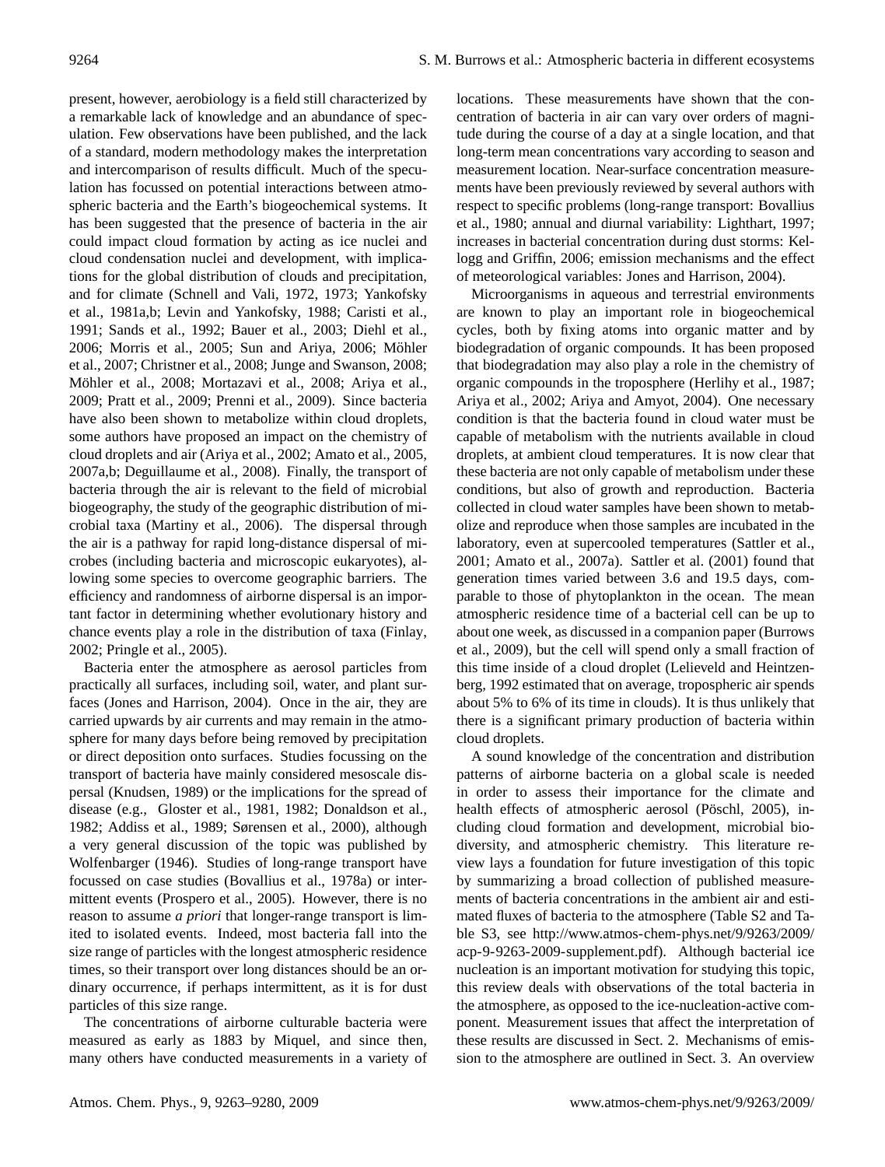present, however, aerobiology is a field still characterized by a remarkable lack of knowledge and an abundance of speculation. Few observations have been published, and the lack of a standard, modern methodology makes the interpretation and intercomparison of results difficult. Much of the speculation has focussed on potential interactions between atmospheric bacteria and the Earth's biogeochemical systems. It has been suggested that the presence of bacteria in the air could impact cloud formation by acting as ice nuclei and cloud condensation nuclei and development, with implications for the global distribution of clouds and precipitation, and for climate [\(Schnell and Vali,](#page-17-1) [1972,](#page-17-1) [1973;](#page-17-2) [Yankofsky](#page-17-3) [et al.,](#page-17-3) [1981a,](#page-17-3)[b;](#page-17-4) [Levin and Yankofsky,](#page-15-5) [1988;](#page-15-5) [Caristi et al.,](#page-14-3) [1991;](#page-14-3) [Sands et al.,](#page-16-6) [1992;](#page-16-6) [Bauer et al.,](#page-13-1) [2003;](#page-13-1) [Diehl et al.,](#page-14-4) [2006;](#page-17-5) [Morris et al.,](#page-16-7) [2005;](#page-16-7) [Sun and Ariya,](#page-17-5) 2006; Möhler [et al.,](#page-16-8) [2007;](#page-16-8) [Christner et al.,](#page-14-5) [2008;](#page-14-5) [Junge and Swanson,](#page-15-6) [2008;](#page-15-6) Möhler et al., [2008;](#page-16-10) [Mortazavi et al.,](#page-16-10) 2008; [Ariya et al.,](#page-13-2) [2009;](#page-13-2) [Pratt et al.,](#page-16-11) [2009;](#page-16-11) [Prenni et al.,](#page-16-12) [2009\)](#page-16-12). Since bacteria have also been shown to metabolize within cloud droplets, some authors have proposed an impact on the chemistry of cloud droplets and air [\(Ariya et al.,](#page-13-3) [2002;](#page-13-3) [Amato et al.,](#page-13-4) [2005,](#page-13-4) [2007a](#page-13-5)[,b;](#page-13-6) [Deguillaume et al.,](#page-14-6) [2008\)](#page-14-6). Finally, the transport of bacteria through the air is relevant to the field of microbial biogeography, the study of the geographic distribution of microbial taxa [\(Martiny et al.,](#page-16-13) [2006\)](#page-16-13). The dispersal through the air is a pathway for rapid long-distance dispersal of microbes (including bacteria and microscopic eukaryotes), allowing some species to overcome geographic barriers. The efficiency and randomness of airborne dispersal is an important factor in determining whether evolutionary history and chance events play a role in the distribution of taxa [\(Finlay,](#page-14-7) [2002;](#page-14-7) [Pringle et al.,](#page-16-14) [2005\)](#page-16-14).

Bacteria enter the atmosphere as aerosol particles from practically all surfaces, including soil, water, and plant surfaces [\(Jones and Harrison,](#page-15-7) [2004\)](#page-15-7). Once in the air, they are carried upwards by air currents and may remain in the atmosphere for many days before being removed by precipitation or direct deposition onto surfaces. Studies focussing on the transport of bacteria have mainly considered mesoscale dispersal [\(Knudsen,](#page-15-8) [1989\)](#page-15-8) or the implications for the spread of disease (e.g., [Gloster et al.,](#page-14-8) [1981,](#page-14-8) [1982;](#page-14-9) [Donaldson et al.,](#page-14-10) [1982;](#page-14-10) [Addiss et al.,](#page-13-7) [1989;](#page-13-7) [Sørensen et al.,](#page-17-6) [2000\)](#page-17-6), although a very general discussion of the topic was published by [Wolfenbarger](#page-17-7) [\(1946\)](#page-17-7). Studies of long-range transport have focussed on case studies [\(Bovallius et al.,](#page-13-8) [1978a\)](#page-13-8) or intermittent events [\(Prospero et al.,](#page-16-0) [2005\)](#page-16-0). However, there is no reason to assume *a priori* that longer-range transport is limited to isolated events. Indeed, most bacteria fall into the size range of particles with the longest atmospheric residence times, so their transport over long distances should be an ordinary occurrence, if perhaps intermittent, as it is for dust particles of this size range.

The concentrations of airborne culturable bacteria were measured as early as [1883](#page-16-15) by [Miquel,](#page-16-15) and since then, many others have conducted measurements in a variety of locations. These measurements have shown that the concentration of bacteria in air can vary over orders of magnitude during the course of a day at a single location, and that long-term mean concentrations vary according to season and measurement location. Near-surface concentration measurements have been previously reviewed by several authors with respect to specific problems (long-range transport: [Bovallius](#page-13-9) [et al.,](#page-13-9) [1980;](#page-13-9) annual and diurnal variability: [Lighthart,](#page-15-9) [1997;](#page-15-9) increases in bacterial concentration during dust storms: [Kel](#page-15-10)[logg and Griffin,](#page-15-10) [2006;](#page-15-10) emission mechanisms and the effect of meteorological variables: [Jones and Harrison,](#page-15-7) [2004\)](#page-15-7).

Microorganisms in aqueous and terrestrial environments are known to play an important role in biogeochemical cycles, both by fixing atoms into organic matter and by biodegradation of organic compounds. It has been proposed that biodegradation may also play a role in the chemistry of organic compounds in the troposphere [\(Herlihy et al.,](#page-15-11) [1987;](#page-15-11) [Ariya et al.,](#page-13-3) [2002;](#page-13-3) [Ariya and Amyot,](#page-13-10) [2004\)](#page-13-10). One necessary condition is that the bacteria found in cloud water must be capable of metabolism with the nutrients available in cloud droplets, at ambient cloud temperatures. It is now clear that these bacteria are not only capable of metabolism under these conditions, but also of growth and reproduction. Bacteria collected in cloud water samples have been shown to metabolize and reproduce when those samples are incubated in the laboratory, even at supercooled temperatures [\(Sattler et al.,](#page-16-16) [2001;](#page-16-16) [Amato et al.,](#page-13-5) [2007a\)](#page-13-5). [Sattler et al.](#page-16-16) [\(2001\)](#page-16-16) found that generation times varied between 3.6 and 19.5 days, comparable to those of phytoplankton in the ocean. The mean atmospheric residence time of a bacterial cell can be up to about one week, as discussed in a companion paper [\(Burrows](#page-13-11) [et al.,](#page-13-11) [2009\)](#page-13-11), but the cell will spend only a small fraction of this time inside of a cloud droplet [\(Lelieveld and Heintzen](#page-15-12)[berg,](#page-15-12) [1992](#page-15-12) estimated that on average, tropospheric air spends about 5% to 6% of its time in clouds). It is thus unlikely that there is a significant primary production of bacteria within cloud droplets.

A sound knowledge of the concentration and distribution patterns of airborne bacteria on a global scale is needed in order to assess their importance for the climate and health effects of atmospheric aerosol (Pöschl, [2005\)](#page-16-17), including cloud formation and development, microbial biodiversity, and atmospheric chemistry. This literature review lays a foundation for future investigation of this topic by summarizing a broad collection of published measurements of bacteria concentrations in the ambient air and estimated fluxes of bacteria to the atmosphere (Table S2 and Table S3, see [http://www.atmos-chem-phys.net/9/9263/2009/](http://www.atmos-chem-phys.net/9/9263/2009/acp-9-9263-2009-supplement.pdf) [acp-9-9263-2009-supplement.pdf\)](http://www.atmos-chem-phys.net/9/9263/2009/acp-9-9263-2009-supplement.pdf). Although bacterial ice nucleation is an important motivation for studying this topic, this review deals with observations of the total bacteria in the atmosphere, as opposed to the ice-nucleation-active component. Measurement issues that affect the interpretation of these results are discussed in Sect. [2.](#page-2-0) Mechanisms of emission to the atmosphere are outlined in Sect. [3.](#page-3-0) An overview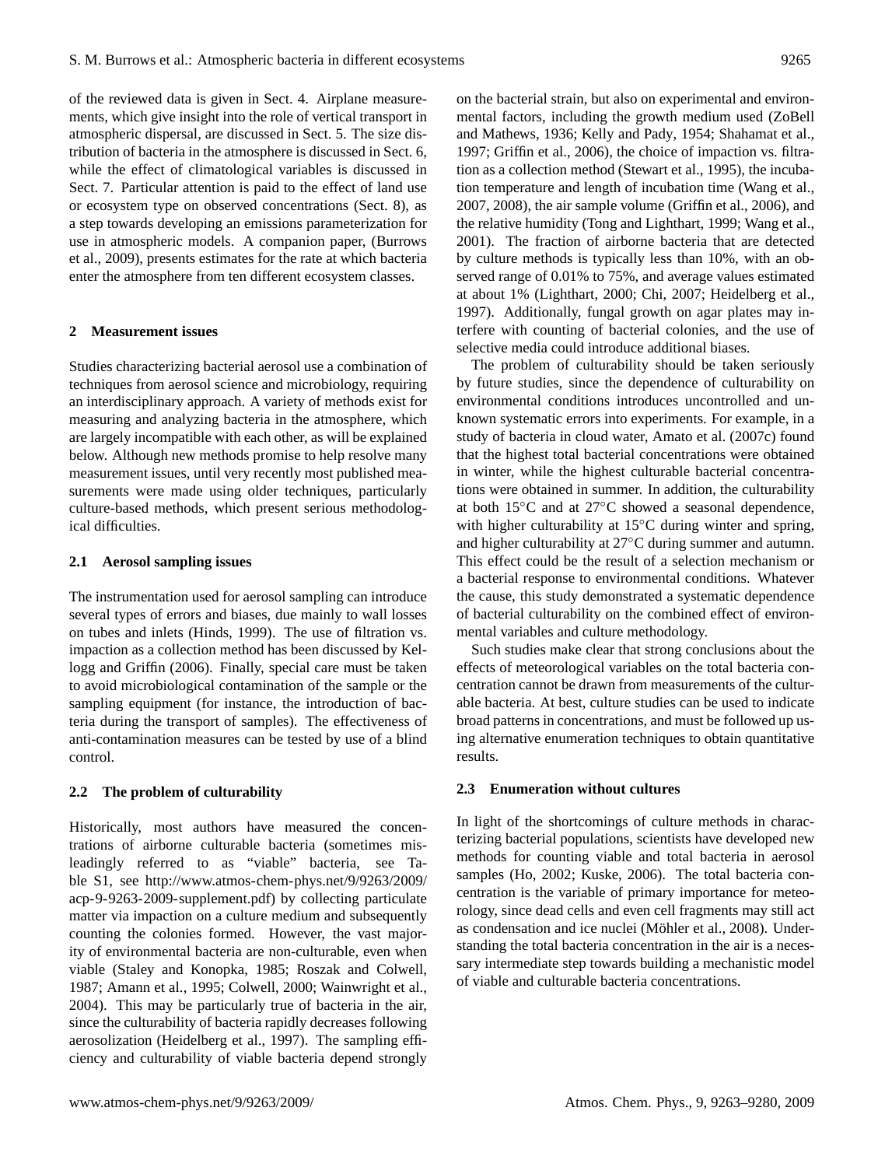of the reviewed data is given in Sect. [4.](#page-3-1) Airplane measurements, which give insight into the role of vertical transport in atmospheric dispersal, are discussed in Sect. [5.](#page-4-0) The size distribution of bacteria in the atmosphere is discussed in Sect. [6,](#page-4-1) while the effect of climatological variables is discussed in Sect. [7.](#page-4-2) Particular attention is paid to the effect of land use or ecosystem type on observed concentrations (Sect. [8\)](#page-6-0), as a step towards developing an emissions parameterization for use in atmospheric models. A companion paper, [\(Burrows](#page-13-11) [et al.,](#page-13-11) [2009\)](#page-13-11), presents estimates for the rate at which bacteria enter the atmosphere from ten different ecosystem classes.

## <span id="page-2-0"></span>**2 Measurement issues**

Studies characterizing bacterial aerosol use a combination of techniques from aerosol science and microbiology, requiring an interdisciplinary approach. A variety of methods exist for measuring and analyzing bacteria in the atmosphere, which are largely incompatible with each other, as will be explained below. Although new methods promise to help resolve many measurement issues, until very recently most published measurements were made using older techniques, particularly culture-based methods, which present serious methodological difficulties.

#### **2.1 Aerosol sampling issues**

The instrumentation used for aerosol sampling can introduce several types of errors and biases, due mainly to wall losses on tubes and inlets [\(Hinds,](#page-15-13) [1999\)](#page-15-13). The use of filtration vs. impaction as a collection method has been discussed by [Kel](#page-15-10)[logg and Griffin](#page-15-10) [\(2006\)](#page-15-10). Finally, special care must be taken to avoid microbiological contamination of the sample or the sampling equipment (for instance, the introduction of bacteria during the transport of samples). The effectiveness of anti-contamination measures can be tested by use of a blind control.

#### <span id="page-2-1"></span>**2.2 The problem of culturability**

Historically, most authors have measured the concentrations of airborne culturable bacteria (sometimes misleadingly referred to as "viable" bacteria, see Table S1, see [http://www.atmos-chem-phys.net/9/9263/2009/](http://www.atmos-chem-phys.net/9/9263/2009/acp-9-9263-2009-supplement.pdf) [acp-9-9263-2009-supplement.pdf\)](http://www.atmos-chem-phys.net/9/9263/2009/acp-9-9263-2009-supplement.pdf) by collecting particulate matter via impaction on a culture medium and subsequently counting the colonies formed. However, the vast majority of environmental bacteria are non-culturable, even when viable [\(Staley and Konopka,](#page-17-8) [1985;](#page-17-8) [Roszak and Colwell,](#page-16-18) [1987;](#page-16-18) [Amann et al.,](#page-13-12) [1995;](#page-13-12) [Colwell,](#page-14-11) [2000;](#page-14-11) [Wainwright et al.,](#page-17-9) [2004\)](#page-17-9). This may be particularly true of bacteria in the air, since the culturability of bacteria rapidly decreases following aerosolization [\(Heidelberg et al.,](#page-15-14) [1997\)](#page-15-14). The sampling efficiency and culturability of viable bacteria depend strongly on the bacterial strain, but also on experimental and environmental factors, including the growth medium used [\(ZoBell](#page-17-10) [and Mathews,](#page-17-10) [1936;](#page-17-10) [Kelly and Pady,](#page-15-15) [1954;](#page-15-15) [Shahamat et al.,](#page-17-11) [1997;](#page-17-11) [Griffin et al.,](#page-15-2) [2006\)](#page-15-2), the choice of impaction vs. filtration as a collection method [\(Stewart et al.,](#page-17-12) [1995\)](#page-17-12), the incubation temperature and length of incubation time [\(Wang et al.,](#page-17-13) [2007,](#page-17-13) [2008\)](#page-17-14), the air sample volume [\(Griffin et al.,](#page-15-2) [2006\)](#page-15-2), and the relative humidity [\(Tong and Lighthart,](#page-17-15) [1999;](#page-17-15) [Wang et al.,](#page-17-16) [2001\)](#page-17-16). The fraction of airborne bacteria that are detected by culture methods is typically less than 10%, with an observed range of 0.01% to 75%, and average values estimated at about 1% [\(Lighthart,](#page-15-16) [2000;](#page-15-16) [Chi,](#page-14-12) [2007;](#page-14-12) [Heidelberg et al.,](#page-15-14) [1997\)](#page-15-14). Additionally, fungal growth on agar plates may interfere with counting of bacterial colonies, and the use of selective media could introduce additional biases.

The problem of culturability should be taken seriously by future studies, since the dependence of culturability on environmental conditions introduces uncontrolled and unknown systematic errors into experiments. For example, in a study of bacteria in cloud water, [Amato et al.](#page-13-13) [\(2007c\)](#page-13-13) found that the highest total bacterial concentrations were obtained in winter, while the highest culturable bacterial concentrations were obtained in summer. In addition, the culturability at both 15◦C and at 27◦C showed a seasonal dependence, with higher culturability at 15℃ during winter and spring, and higher culturability at 27◦C during summer and autumn. This effect could be the result of a selection mechanism or a bacterial response to environmental conditions. Whatever the cause, this study demonstrated a systematic dependence of bacterial culturability on the combined effect of environmental variables and culture methodology.

Such studies make clear that strong conclusions about the effects of meteorological variables on the total bacteria concentration cannot be drawn from measurements of the culturable bacteria. At best, culture studies can be used to indicate broad patterns in concentrations, and must be followed up using alternative enumeration techniques to obtain quantitative results.

#### **2.3 Enumeration without cultures**

In light of the shortcomings of culture methods in characterizing bacterial populations, scientists have developed new methods for counting viable and total bacteria in aerosol samples [\(Ho,](#page-15-17) [2002;](#page-15-17) [Kuske,](#page-15-18) [2006\)](#page-15-18). The total bacteria concentration is the variable of primary importance for meteorology, since dead cells and even cell fragments may still act as condensation and ice nuclei (Möhler et al., [2008\)](#page-16-9). Understanding the total bacteria concentration in the air is a necessary intermediate step towards building a mechanistic model of viable and culturable bacteria concentrations.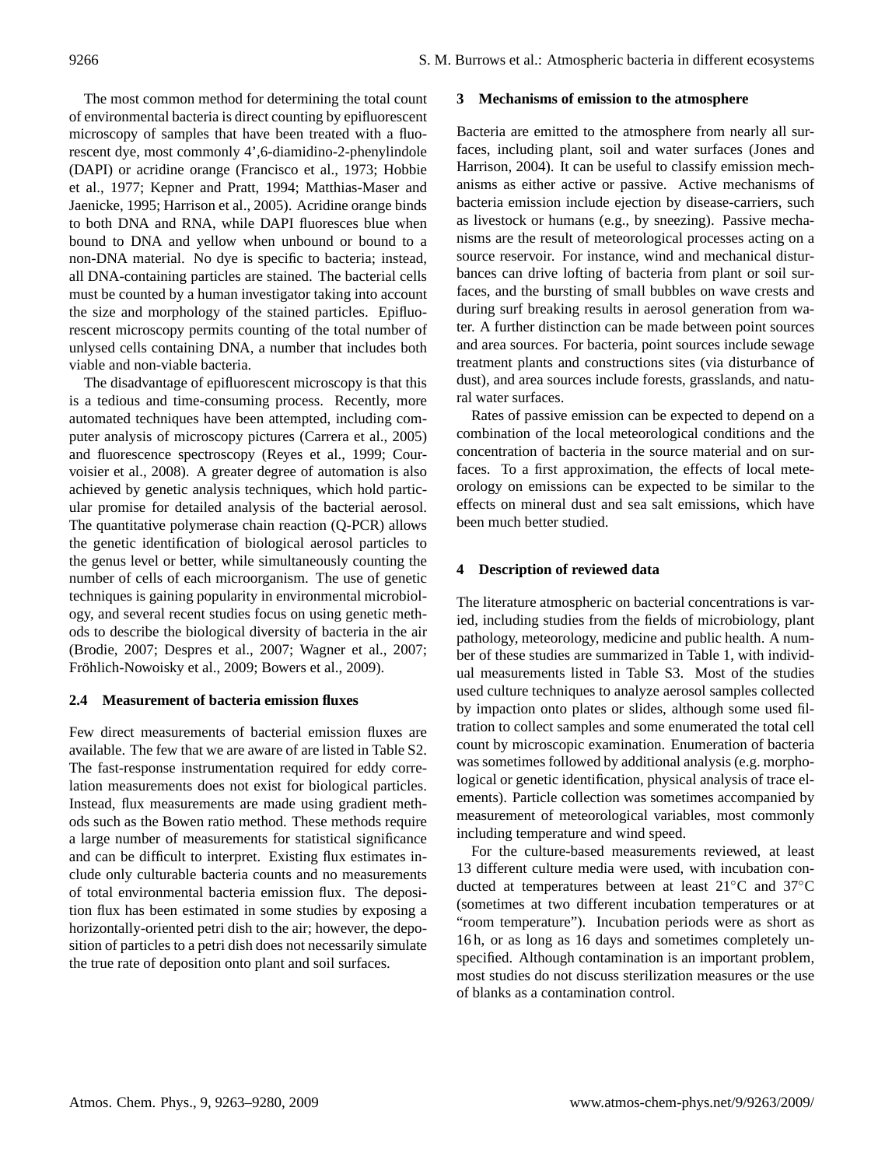The most common method for determining the total count of environmental bacteria is direct counting by epifluorescent microscopy of samples that have been treated with a fluorescent dye, most commonly 4',6-diamidino-2-phenylindole (DAPI) or acridine orange [\(Francisco et al.,](#page-14-13) [1973;](#page-14-13) [Hobbie](#page-15-19) [et al.,](#page-15-19) [1977;](#page-15-19) [Kepner and Pratt,](#page-15-20) [1994;](#page-15-20) [Matthias-Maser and](#page-16-19) [Jaenicke,](#page-16-19) [1995;](#page-16-19) [Harrison et al.,](#page-15-21) [2005\)](#page-15-21). Acridine orange binds to both DNA and RNA, while DAPI fluoresces blue when bound to DNA and yellow when unbound or bound to a non-DNA material. No dye is specific to bacteria; instead, all DNA-containing particles are stained. The bacterial cells must be counted by a human investigator taking into account the size and morphology of the stained particles. Epifluorescent microscopy permits counting of the total number of unlysed cells containing DNA, a number that includes both viable and non-viable bacteria.

The disadvantage of epifluorescent microscopy is that this is a tedious and time-consuming process. Recently, more automated techniques have been attempted, including computer analysis of microscopy pictures [\(Carrera et al.,](#page-14-14) [2005\)](#page-14-14) and fluorescence spectroscopy [\(Reyes et al.,](#page-16-20) [1999;](#page-16-20) [Cour](#page-14-15)[voisier et al.,](#page-14-15) [2008\)](#page-14-15). A greater degree of automation is also achieved by genetic analysis techniques, which hold particular promise for detailed analysis of the bacterial aerosol. The quantitative polymerase chain reaction (Q-PCR) allows the genetic identification of biological aerosol particles to the genus level or better, while simultaneously counting the number of cells of each microorganism. The use of genetic techniques is gaining popularity in environmental microbiology, and several recent studies focus on using genetic methods to describe the biological diversity of bacteria in the air [\(Brodie,](#page-13-14) [2007;](#page-13-14) [Despres et al.,](#page-14-16) [2007;](#page-14-16) [Wagner et al.,](#page-17-17) [2007;](#page-17-17) Fröhlich-Nowoisky et al., [2009;](#page-14-17) [Bowers et al.,](#page-13-15) [2009\)](#page-13-15).

## **2.4 Measurement of bacteria emission fluxes**

Few direct measurements of bacterial emission fluxes are available. The few that we are aware of are listed in Table S2. The fast-response instrumentation required for eddy correlation measurements does not exist for biological particles. Instead, flux measurements are made using gradient methods such as the Bowen ratio method. These methods require a large number of measurements for statistical significance and can be difficult to interpret. Existing flux estimates include only culturable bacteria counts and no measurements of total environmental bacteria emission flux. The deposition flux has been estimated in some studies by exposing a horizontally-oriented petri dish to the air; however, the deposition of particles to a petri dish does not necessarily simulate the true rate of deposition onto plant and soil surfaces.

#### <span id="page-3-0"></span>**3 Mechanisms of emission to the atmosphere**

Bacteria are emitted to the atmosphere from nearly all surfaces, including plant, soil and water surfaces [\(Jones and](#page-15-7) [Harrison,](#page-15-7) [2004\)](#page-15-7). It can be useful to classify emission mechanisms as either active or passive. Active mechanisms of bacteria emission include ejection by disease-carriers, such as livestock or humans (e.g., by sneezing). Passive mechanisms are the result of meteorological processes acting on a source reservoir. For instance, wind and mechanical disturbances can drive lofting of bacteria from plant or soil surfaces, and the bursting of small bubbles on wave crests and during surf breaking results in aerosol generation from water. A further distinction can be made between point sources and area sources. For bacteria, point sources include sewage treatment plants and constructions sites (via disturbance of dust), and area sources include forests, grasslands, and natural water surfaces.

Rates of passive emission can be expected to depend on a combination of the local meteorological conditions and the concentration of bacteria in the source material and on surfaces. To a first approximation, the effects of local meteorology on emissions can be expected to be similar to the effects on mineral dust and sea salt emissions, which have been much better studied.

#### <span id="page-3-1"></span>**4 Description of reviewed data**

The literature atmospheric on bacterial concentrations is varied, including studies from the fields of microbiology, plant pathology, meteorology, medicine and public health. A number of these studies are summarized in Table [1,](#page-7-0) with individual measurements listed in Table S3. Most of the studies used culture techniques to analyze aerosol samples collected by impaction onto plates or slides, although some used filtration to collect samples and some enumerated the total cell count by microscopic examination. Enumeration of bacteria was sometimes followed by additional analysis (e.g. morphological or genetic identification, physical analysis of trace elements). Particle collection was sometimes accompanied by measurement of meteorological variables, most commonly including temperature and wind speed.

For the culture-based measurements reviewed, at least 13 different culture media were used, with incubation conducted at temperatures between at least 21◦C and 37◦C (sometimes at two different incubation temperatures or at "room temperature"). Incubation periods were as short as 16 h, or as long as 16 days and sometimes completely unspecified. Although contamination is an important problem, most studies do not discuss sterilization measures or the use of blanks as a contamination control.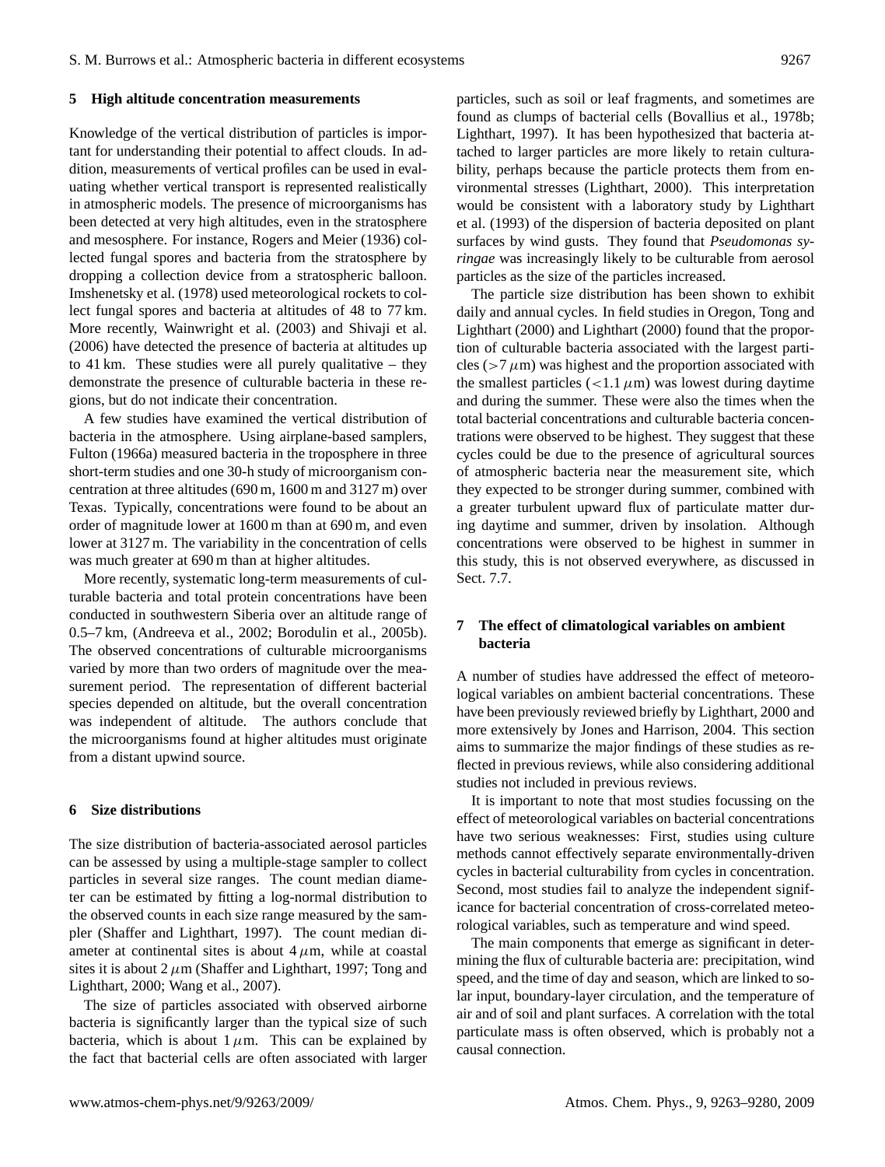#### <span id="page-4-0"></span>**5 High altitude concentration measurements**

Knowledge of the vertical distribution of particles is important for understanding their potential to affect clouds. In addition, measurements of vertical profiles can be used in evaluating whether vertical transport is represented realistically in atmospheric models. The presence of microorganisms has been detected at very high altitudes, even in the stratosphere and mesosphere. For instance, [Rogers and Meier](#page-16-5) [\(1936\)](#page-16-5) collected fungal spores and bacteria from the stratosphere by dropping a collection device from a stratospheric balloon. [Imshenetsky et al.](#page-15-3) [\(1978\)](#page-15-3) used meteorological rockets to collect fungal spores and bacteria at altitudes of 48 to 77 km. More recently, [Wainwright et al.](#page-17-18) [\(2003\)](#page-17-18) and [Shivaji et al.](#page-17-19) [\(2006\)](#page-17-19) have detected the presence of bacteria at altitudes up to  $41 \text{ km}$ . These studies were all purely qualitative – they demonstrate the presence of culturable bacteria in these regions, but do not indicate their concentration.

A few studies have examined the vertical distribution of bacteria in the atmosphere. Using airplane-based samplers, [Fulton](#page-14-18) [\(1966a\)](#page-14-18) measured bacteria in the troposphere in three short-term studies and one 30-h study of microorganism concentration at three altitudes (690 m, 1600 m and 3127 m) over Texas. Typically, concentrations were found to be about an order of magnitude lower at 1600 m than at 690 m, and even lower at 3127 m. The variability in the concentration of cells was much greater at 690 m than at higher altitudes.

More recently, systematic long-term measurements of culturable bacteria and total protein concentrations have been conducted in southwestern Siberia over an altitude range of 0.5–7 km, [\(Andreeva et al.,](#page-13-16) [2002;](#page-13-16) [Borodulin et al.,](#page-13-17) [2005b\)](#page-13-17). The observed concentrations of culturable microorganisms varied by more than two orders of magnitude over the measurement period. The representation of different bacterial species depended on altitude, but the overall concentration was independent of altitude. The authors conclude that the microorganisms found at higher altitudes must originate from a distant upwind source.

## <span id="page-4-1"></span>**6 Size distributions**

The size distribution of bacteria-associated aerosol particles can be assessed by using a multiple-stage sampler to collect particles in several size ranges. The count median diameter can be estimated by fitting a log-normal distribution to the observed counts in each size range measured by the sampler [\(Shaffer and Lighthart,](#page-17-20) [1997\)](#page-17-20). The count median diameter at continental sites is about  $4 \mu m$ , while at coastal sites it is about  $2 \mu m$  [\(Shaffer and Lighthart,](#page-17-20) [1997;](#page-17-20) [Tong and](#page-17-21) [Lighthart,](#page-17-21) [2000;](#page-17-21) [Wang et al.,](#page-17-13) [2007\)](#page-17-13).

The size of particles associated with observed airborne bacteria is significantly larger than the typical size of such bacteria, which is about  $1 \mu$ m. This can be explained by the fact that bacterial cells are often associated with larger particles, such as soil or leaf fragments, and sometimes are found as clumps of bacterial cells [\(Bovallius et al.,](#page-13-18) [1978b;](#page-13-18) [Lighthart,](#page-15-9) [1997\)](#page-15-9). It has been hypothesized that bacteria attached to larger particles are more likely to retain culturability, perhaps because the particle protects them from environmental stresses [\(Lighthart,](#page-15-16) [2000\)](#page-15-16). This interpretation would be consistent with a laboratory study by [Lighthart](#page-15-22) [et al.](#page-15-22) [\(1993\)](#page-15-22) of the dispersion of bacteria deposited on plant surfaces by wind gusts. They found that *Pseudomonas syringae* was increasingly likely to be culturable from aerosol particles as the size of the particles increased.

The particle size distribution has been shown to exhibit daily and annual cycles. In field studies in Oregon, [Tong and](#page-17-21) [Lighthart](#page-17-21) [\(2000\)](#page-17-21) and [Lighthart](#page-15-16) [\(2000\)](#page-15-16) found that the proportion of culturable bacteria associated with the largest particles ( $>7 \mu$ m) was highest and the proportion associated with the smallest particles  $\left($  < 1.1  $\mu$ m) was lowest during daytime and during the summer. These were also the times when the total bacterial concentrations and culturable bacteria concentrations were observed to be highest. They suggest that these cycles could be due to the presence of agricultural sources of atmospheric bacteria near the measurement site, which they expected to be stronger during summer, combined with a greater turbulent upward flux of particulate matter during daytime and summer, driven by insolation. Although concentrations were observed to be highest in summer in this study, this is not observed everywhere, as discussed in Sect. [7.7.](#page-5-0)

## <span id="page-4-2"></span>**7 The effect of climatological variables on ambient bacteria**

A number of studies have addressed the effect of meteorological variables on ambient bacterial concentrations. These have been previously reviewed briefly by [Lighthart,](#page-15-16) [2000](#page-15-16) and more extensively by [Jones and Harrison,](#page-15-7) [2004.](#page-15-7) This section aims to summarize the major findings of these studies as reflected in previous reviews, while also considering additional studies not included in previous reviews.

It is important to note that most studies focussing on the effect of meteorological variables on bacterial concentrations have two serious weaknesses: First, studies using culture methods cannot effectively separate environmentally-driven cycles in bacterial culturability from cycles in concentration. Second, most studies fail to analyze the independent significance for bacterial concentration of cross-correlated meteorological variables, such as temperature and wind speed.

The main components that emerge as significant in determining the flux of culturable bacteria are: precipitation, wind speed, and the time of day and season, which are linked to solar input, boundary-layer circulation, and the temperature of air and of soil and plant surfaces. A correlation with the total particulate mass is often observed, which is probably not a causal connection.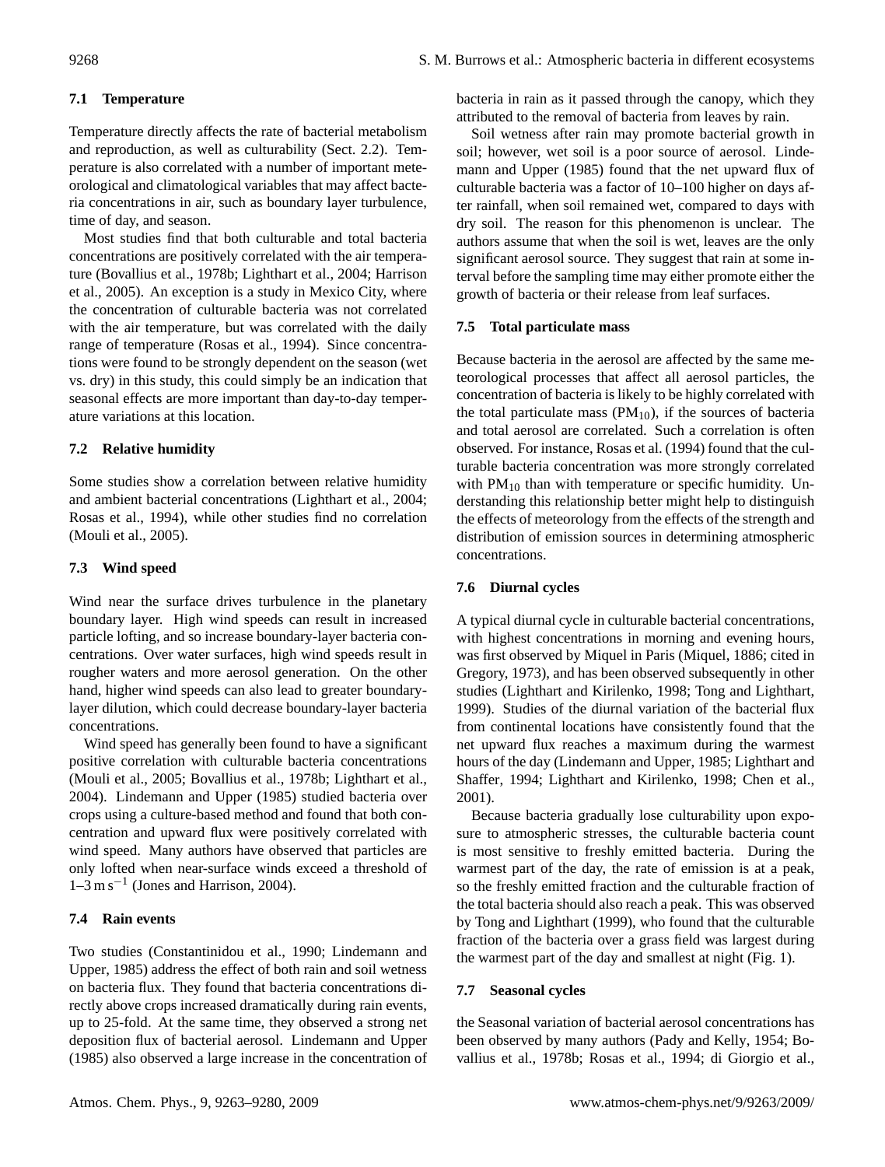# **7.1 Temperature**

Temperature directly affects the rate of bacterial metabolism and reproduction, as well as culturability (Sect. [2.2\)](#page-2-1). Temperature is also correlated with a number of important meteorological and climatological variables that may affect bacteria concentrations in air, such as boundary layer turbulence, time of day, and season.

Most studies find that both culturable and total bacteria concentrations are positively correlated with the air temperature [\(Bovallius et al.,](#page-13-18) [1978b;](#page-13-18) [Lighthart et al.,](#page-15-23) [2004;](#page-15-23) [Harrison](#page-15-21) [et al.,](#page-15-21) [2005\)](#page-15-21). An exception is a study in Mexico City, where the concentration of culturable bacteria was not correlated with the air temperature, but was correlated with the daily range of temperature [\(Rosas et al.,](#page-16-21) [1994\)](#page-16-21). Since concentrations were found to be strongly dependent on the season (wet vs. dry) in this study, this could simply be an indication that seasonal effects are more important than day-to-day temperature variations at this location.

# **7.2 Relative humidity**

Some studies show a correlation between relative humidity and ambient bacterial concentrations [\(Lighthart et al.,](#page-15-23) [2004;](#page-15-23) [Rosas et al.,](#page-16-21) [1994\)](#page-16-21), while other studies find no correlation [\(Mouli et al.,](#page-16-22) [2005\)](#page-16-22).

# **7.3 Wind speed**

Wind near the surface drives turbulence in the planetary boundary layer. High wind speeds can result in increased particle lofting, and so increase boundary-layer bacteria concentrations. Over water surfaces, high wind speeds result in rougher waters and more aerosol generation. On the other hand, higher wind speeds can also lead to greater boundarylayer dilution, which could decrease boundary-layer bacteria concentrations.

Wind speed has generally been found to have a significant positive correlation with culturable bacteria concentrations [\(Mouli et al.,](#page-16-22) [2005;](#page-16-22) [Bovallius et al.,](#page-13-18) [1978b;](#page-13-18) [Lighthart et al.,](#page-15-23) [2004\)](#page-15-23). [Lindemann and Upper](#page-15-24) [\(1985\)](#page-15-24) studied bacteria over crops using a culture-based method and found that both concentration and upward flux were positively correlated with wind speed. Many authors have observed that particles are only lofted when near-surface winds exceed a threshold of 1–3 m s−<sup>1</sup> [\(Jones and Harrison,](#page-15-7) [2004\)](#page-15-7).

# **7.4 Rain events**

Two studies [\(Constantinidou et al.,](#page-14-19) [1990;](#page-14-19) [Lindemann and](#page-15-24) [Upper,](#page-15-24) [1985\)](#page-15-24) address the effect of both rain and soil wetness on bacteria flux. They found that bacteria concentrations directly above crops increased dramatically during rain events, up to 25-fold. At the same time, they observed a strong net deposition flux of bacterial aerosol. [Lindemann and Upper](#page-15-24) [\(1985\)](#page-15-24) also observed a large increase in the concentration of bacteria in rain as it passed through the canopy, which they attributed to the removal of bacteria from leaves by rain.

Soil wetness after rain may promote bacterial growth in soil; however, wet soil is a poor source of aerosol. [Linde](#page-15-24)[mann and Upper](#page-15-24) [\(1985\)](#page-15-24) found that the net upward flux of culturable bacteria was a factor of 10–100 higher on days after rainfall, when soil remained wet, compared to days with dry soil. The reason for this phenomenon is unclear. The authors assume that when the soil is wet, leaves are the only significant aerosol source. They suggest that rain at some interval before the sampling time may either promote either the growth of bacteria or their release from leaf surfaces.

# **7.5 Total particulate mass**

Because bacteria in the aerosol are affected by the same meteorological processes that affect all aerosol particles, the concentration of bacteria is likely to be highly correlated with the total particulate mass  $(PM_{10})$ , if the sources of bacteria and total aerosol are correlated. Such a correlation is often observed. For instance, [Rosas et al.](#page-16-21) [\(1994\)](#page-16-21) found that the culturable bacteria concentration was more strongly correlated with  $PM_{10}$  than with temperature or specific humidity. Understanding this relationship better might help to distinguish the effects of meteorology from the effects of the strength and distribution of emission sources in determining atmospheric concentrations.

# **7.6 Diurnal cycles**

A typical diurnal cycle in culturable bacterial concentrations, with highest concentrations in morning and evening hours, was first observed by Miquel in Paris (Miquel, 1886; cited in Gregory, 1973), and has been observed subsequently in other studies [\(Lighthart and Kirilenko,](#page-15-25) [1998;](#page-15-25) [Tong and Lighthart,](#page-17-15) [1999\)](#page-17-15). Studies of the diurnal variation of the bacterial flux from continental locations have consistently found that the net upward flux reaches a maximum during the warmest hours of the day [\(Lindemann and Upper,](#page-15-24) [1985;](#page-15-24) [Lighthart and](#page-15-26) [Shaffer,](#page-15-26) [1994;](#page-15-26) [Lighthart and Kirilenko,](#page-15-25) [1998;](#page-15-25) [Chen et al.,](#page-14-20) [2001\)](#page-14-20).

Because bacteria gradually lose culturability upon exposure to atmospheric stresses, the culturable bacteria count is most sensitive to freshly emitted bacteria. During the warmest part of the day, the rate of emission is at a peak, so the freshly emitted fraction and the culturable fraction of the total bacteria should also reach a peak. This was observed by [Tong and Lighthart](#page-17-15) [\(1999\)](#page-17-15), who found that the culturable fraction of the bacteria over a grass field was largest during the warmest part of the day and smallest at night (Fig. [1\)](#page-6-1).

# <span id="page-5-0"></span>**7.7 Seasonal cycles**

the Seasonal variation of bacterial aerosol concentrations has been observed by many authors [\(Pady and Kelly,](#page-16-23) [1954;](#page-16-23) [Bo](#page-13-18)[vallius et al.,](#page-13-18) [1978b;](#page-13-18) [Rosas et al.,](#page-16-21) [1994;](#page-16-21) [di Giorgio et al.,](#page-14-21)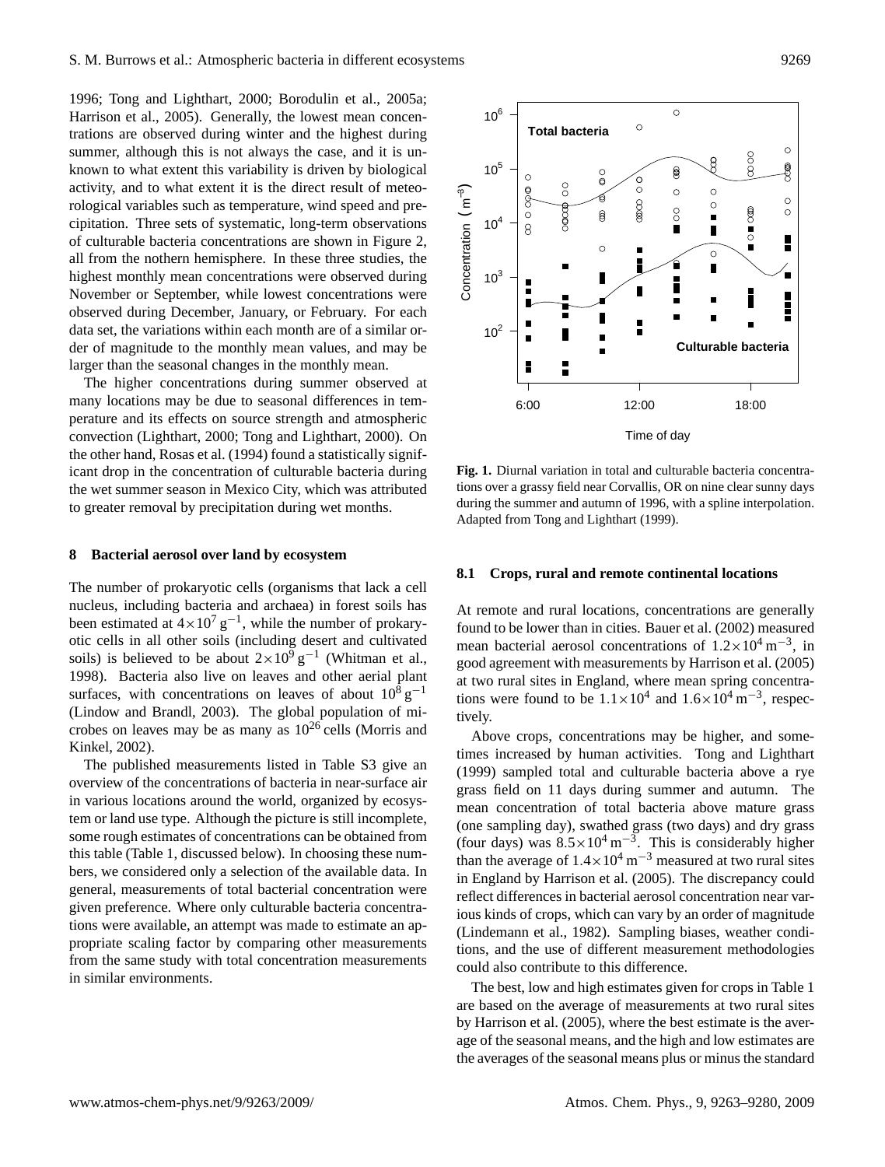[1996;](#page-14-21) [Tong and Lighthart,](#page-17-21) [2000;](#page-17-21) [Borodulin et al.,](#page-13-19) [2005a;](#page-13-19) [Harrison et al.,](#page-15-21) [2005\)](#page-15-21). Generally, the lowest mean concentrations are observed during winter and the highest during summer, although this is not always the case, and it is unknown to what extent this variability is driven by biological activity, and to what extent it is the direct result of meteorological variables such as temperature, wind speed and precipitation. Three sets of systematic, long-term observations of culturable bacteria concentrations are shown in Figure [2,](#page-7-1) all from the nothern hemisphere. In these three studies, the highest monthly mean concentrations were observed during November or September, while lowest concentrations were observed during December, January, or February. For each data set, the variations within each month are of a similar order of magnitude to the monthly mean values, and may be larger than the seasonal changes in the monthly mean.

The higher concentrations during summer observed at many locations may be due to seasonal differences in temperature and its effects on source strength and atmospheric convection [\(Lighthart,](#page-15-16) [2000;](#page-15-16) [Tong and Lighthart,](#page-17-21) [2000\)](#page-17-21). On the other hand, [Rosas et al.](#page-16-21) [\(1994\)](#page-16-21) found a statistically significant drop in the concentration of culturable bacteria during the wet summer season in Mexico City, which was attributed to greater removal by precipitation during wet months.

#### <span id="page-6-0"></span>**8 Bacterial aerosol over land by ecosystem**

The number of prokaryotic cells (organisms that lack a cell nucleus, including bacteria and archaea) in forest soils has been estimated at  $4 \times 10^7$  g<sup>-1</sup>, while the number of prokaryotic cells in all other soils (including desert and cultivated soils) is believed to be about  $2 \times 10^5$  g<sup>-1</sup> [\(Whitman et al.,](#page-17-22) [1998\)](#page-17-22). Bacteria also live on leaves and other aerial plant surfaces, with concentrations on leaves of about  $10^8$  g<sup>-1</sup> [\(Lindow and Brandl,](#page-15-27) [2003\)](#page-15-27). The global population of microbes on leaves may be as many as  $10^{26}$  cells [\(Morris and](#page-16-24) [Kinkel,](#page-16-24) [2002\)](#page-16-24).

The published measurements listed in Table S3 give an overview of the concentrations of bacteria in near-surface air in various locations around the world, organized by ecosystem or land use type. Although the picture is still incomplete, some rough estimates of concentrations can be obtained from this table (Table [1,](#page-7-0) discussed below). In choosing these numbers, we considered only a selection of the available data. In general, measurements of total bacterial concentration were given preference. Where only culturable bacteria concentrations were available, an attempt was made to estimate an appropriate scaling factor by comparing other measurements from the same study with total concentration measurements in similar environments.



<span id="page-6-1"></span>**Fig. 1.** Diurnal variation in total and culturable bacteria concentrations over a grassy field near Corvallis, OR on nine clear sunny days during the summer and autumn of 1996, with a spline interpolation. Adapted from [Tong and Lighthart](#page-17-15) [\(1999\)](#page-17-15).

#### **8.1 Crops, rural and remote continental locations**

At remote and rural locations, concentrations are generally found to be lower than in cities. [Bauer et al.](#page-13-0) [\(2002\)](#page-13-0) measured mean bacterial aerosol concentrations of  $1.2 \times 10^4$  m<sup>-3</sup>, in good agreement with measurements by [Harrison et al.](#page-15-21) [\(2005\)](#page-15-21) at two rural sites in England, where mean spring concentrations were found to be  $1.1 \times 10^4$  and  $1.6 \times 10^4$  m<sup>-3</sup>, respectively.

Above crops, concentrations may be higher, and sometimes increased by human activities. [Tong and Lighthart](#page-17-15) [\(1999\)](#page-17-15) sampled total and culturable bacteria above a rye grass field on 11 days during summer and autumn. The mean concentration of total bacteria above mature grass (one sampling day), swathed grass (two days) and dry grass (four days) was  $8.5 \times 10^4 \text{ m}^{-3}$ . This is considerably higher than the average of  $1.4 \times 10^4$  m<sup>-3</sup> measured at two rural sites in England by [Harrison et al.](#page-15-21) [\(2005\)](#page-15-21). The discrepancy could reflect differences in bacterial aerosol concentration near various kinds of crops, which can vary by an order of magnitude [\(Lindemann et al.,](#page-15-28) [1982\)](#page-15-28). Sampling biases, weather conditions, and the use of different measurement methodologies could also contribute to this difference.

The best, low and high estimates given for crops in Table [1](#page-7-0) are based on the average of measurements at two rural sites by [Harrison et al.](#page-15-21) [\(2005\)](#page-15-21), where the best estimate is the average of the seasonal means, and the high and low estimates are the averages of the seasonal means plus or minus the standard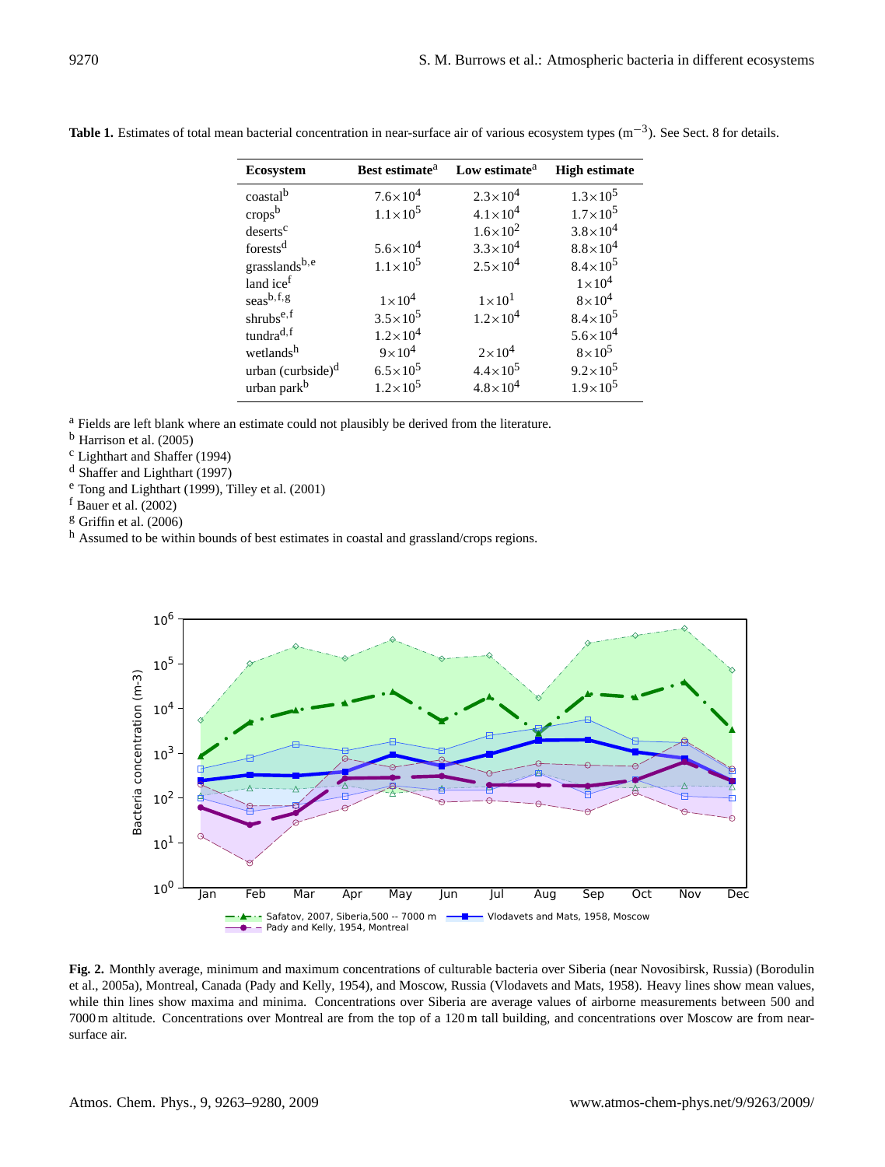| <b>Ecosystem</b>          | Best estimate <sup>a</sup> | Low estimate <sup>a</sup> | <b>High estimate</b> |
|---------------------------|----------------------------|---------------------------|----------------------|
| coastal <sup>b</sup>      | $7.6 \times 10^{4}$        | $2.3 \times 10^{4}$       | $1.3 \times 10^5$    |
| $\text{crops}^{\text{b}}$ | $1.1 \times 10^{5}$        | $4.1 \times 10^{4}$       | $1.7 \times 10^{5}$  |
| deserts <sup>c</sup>      |                            | $1.6 \times 10^{2}$       | $3.8 \times 10^{4}$  |
| forests <sup>d</sup>      | $5.6 \times 10^{4}$        | $3.3 \times 10^{4}$       | $8.8 \times 10^{4}$  |
| grasslands <sup>b,e</sup> | $1.1 \times 10^5$          | $2.5 \times 10^{4}$       | $8.4 \times 10^5$    |
| land ice <sup>f</sup>     |                            |                           | $1 \times 10^4$      |
| seasb, f, g               | $1\times10^4$              | $1\times10^{1}$           | $8\times10^4$        |
| shrubs <sup>e, f</sup>    | $3.5 \times 10^{5}$        | $1.2 \times 10^{4}$       | $8.4 \times 10^{5}$  |
| tundra <sup>d, f</sup>    | $1.2 \times 10^{4}$        |                           | $5.6 \times 10^{4}$  |
| wetlandsh                 | $9\times10^4$              | $2\times10^4$             | $8\times10^5$        |
| urban (curbside) $d$      | $6.5 \times 10^{5}$        | $4.4 \times 10^5$         | $9.2 \times 10^5$    |
| urban park <sup>b</sup>   | $1.2 \times 10^5$          | $4.8 \times 10^{4}$       | $1.9 \times 10^{5}$  |

<span id="page-7-0"></span>Table 1. Estimates of total mean bacterial concentration in near-surface air of various ecosystem types (m<sup>-3</sup>). See Sect. [8](#page-6-0) for details.

<sup>a</sup> Fields are left blank where an estimate could not plausibly be derived from the literature.

<sup>b</sup> [Harrison et al.](#page-15-21) [\(2005\)](#page-15-21)

<sup>c</sup> [Lighthart and Shaffer](#page-15-26) [\(1994\)](#page-15-26)

<sup>d</sup> [Shaffer and Lighthart](#page-17-20) [\(1997\)](#page-17-20)

<sup>e</sup> [Tong and Lighthart](#page-17-15) [\(1999\)](#page-17-15), [Tilley et al.](#page-17-23) [\(2001\)](#page-17-23)

 $f$  [Bauer et al.](#page-13-0) [\(2002\)](#page-13-0)

 $g$  [Griffin et al.](#page-15-2) [\(2006\)](#page-15-2)

h Assumed to be within bounds of best estimates in coastal and grassland/crops regions.



<span id="page-7-1"></span>**Fig. 2.** Monthly average, minimum and maximum concentrations of culturable bacteria over Siberia (near Novosibirsk, Russia) [\(Borodulin](#page-13-19) [et al.,](#page-13-19) [2005a\)](#page-13-19), Montreal, Canada [\(Pady and Kelly,](#page-16-23) [1954\)](#page-16-23), and Moscow, Russia [\(Vlodavets and Mats,](#page-17-24) [1958\)](#page-17-24). Heavy lines show mean values, while thin lines show maxima and minima. Concentrations over Siberia are average values of airborne measurements between 500 and 7000 m altitude. Concentrations over Montreal are from the top of a 120 m tall building, and concentrations over Moscow are from nearsurface air.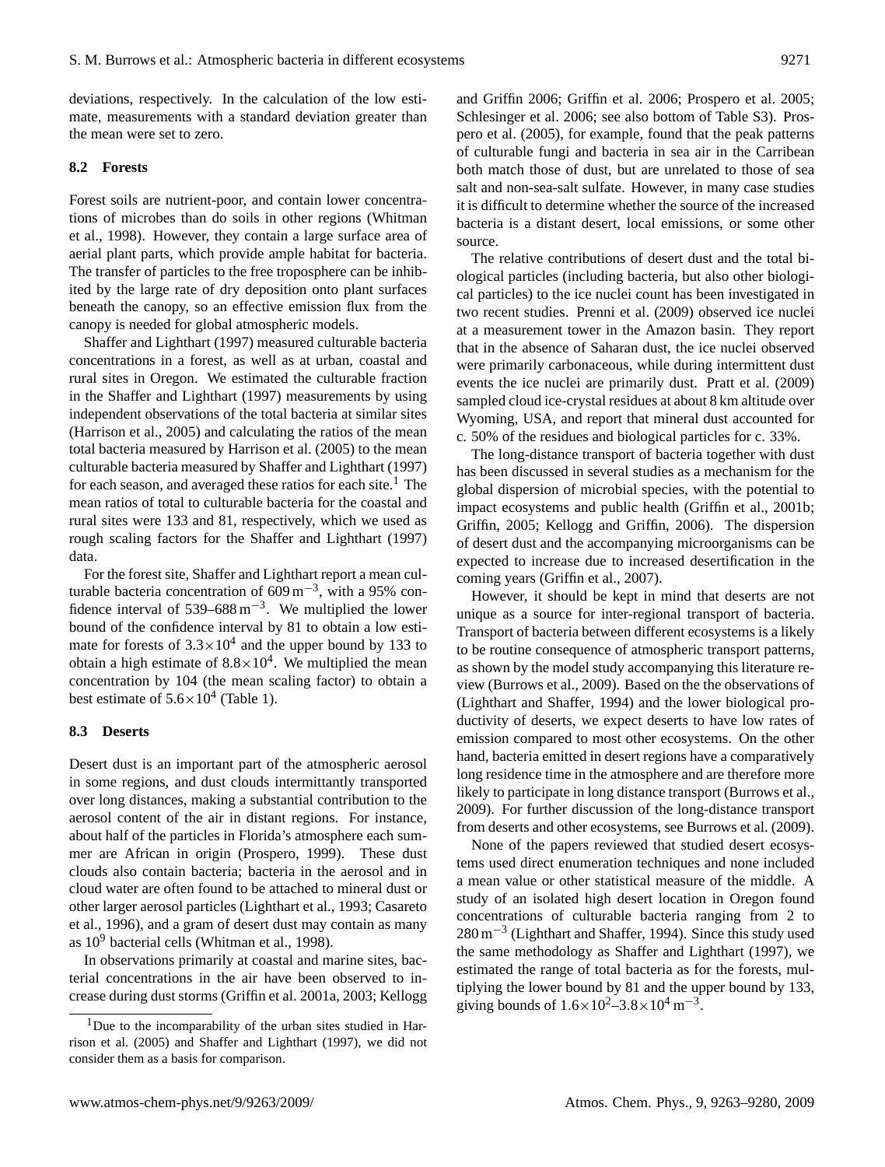deviations, respectively. In the calculation of the low estimate, measurements with a standard deviation greater than the mean were set to zero.

## **8.2 Forests**

Forest soils are nutrient-poor, and contain lower concentrations of microbes than do soils in other regions [\(Whitman](#page-17-22) [et al.,](#page-17-22) [1998\)](#page-17-22). However, they contain a large surface area of aerial plant parts, which provide ample habitat for bacteria. The transfer of particles to the free troposphere can be inhibited by the large rate of dry deposition onto plant surfaces beneath the canopy, so an effective emission flux from the canopy is needed for global atmospheric models.

[Shaffer and Lighthart](#page-17-20) [\(1997\)](#page-17-20) measured culturable bacteria concentrations in a forest, as well as at urban, coastal and rural sites in Oregon. We estimated the culturable fraction in the [Shaffer and Lighthart](#page-17-20) [\(1997\)](#page-17-20) measurements by using independent observations of the total bacteria at similar sites [\(Harrison et al.,](#page-15-21) [2005\)](#page-15-21) and calculating the ratios of the mean total bacteria measured by [Harrison et al.](#page-15-21) [\(2005\)](#page-15-21) to the mean culturable bacteria measured by [Shaffer and Lighthart](#page-17-20) [\(1997\)](#page-17-20) for each season, and averaged these ratios for each site.<sup>[1](#page-8-0)</sup> The mean ratios of total to culturable bacteria for the coastal and rural sites were 133 and 81, respectively, which we used as rough scaling factors for the [Shaffer and Lighthart](#page-17-20) [\(1997\)](#page-17-20) data.

For the forest site, [Shaffer and Lighthart](#page-17-20) report a mean culturable bacteria concentration of  $609 \text{ m}^{-3}$ , with a 95% confidence interval of  $539-688 \text{ m}^{-3}$ . We multiplied the lower bound of the confidence interval by 81 to obtain a low estimate for forests of  $3.3 \times 10^4$  and the upper bound by 133 to obtain a high estimate of  $8.8 \times 10^4$ . We multiplied the mean concentration by 104 (the mean scaling factor) to obtain a best estimate of  $5.6 \times 10^4$  (Table [1\)](#page-7-0).

## **8.3 Deserts**

Desert dust is an important part of the atmospheric aerosol in some regions, and dust clouds intermittantly transported over long distances, making a substantial contribution to the aerosol content of the air in distant regions. For instance, about half of the particles in Florida's atmosphere each summer are African in origin [\(Prospero,](#page-16-25) [1999\)](#page-16-25). These dust clouds also contain bacteria; bacteria in the aerosol and in cloud water are often found to be attached to mineral dust or other larger aerosol particles [\(Lighthart et al.,](#page-15-22) [1993;](#page-15-22) [Casareto](#page-14-22) [et al.,](#page-14-22) [1996\)](#page-14-22), and a gram of desert dust may contain as many as 10<sup>9</sup> bacterial cells [\(Whitman et al.,](#page-17-22) [1998\)](#page-17-22).

In observations primarily at coastal and marine sites, bacterial concentrations in the air have been observed to increase during dust storms [\(Griffin et al.](#page-14-23) [2001a,](#page-14-23) [2003;](#page-15-29) [Kellogg](#page-15-10) [and Griffin](#page-15-10) [2006;](#page-15-10) [Griffin et al.](#page-15-2) [2006;](#page-15-2) [Prospero et al.](#page-16-0) [2005;](#page-16-0) [Schlesinger et al.](#page-17-25) [2006;](#page-17-25) see also bottom of Table S3). [Pros](#page-16-0)[pero et al.](#page-16-0) [\(2005\)](#page-16-0), for example, found that the peak patterns of culturable fungi and bacteria in sea air in the Carribean both match those of dust, but are unrelated to those of sea salt and non-sea-salt sulfate. However, in many case studies it is difficult to determine whether the source of the increased bacteria is a distant desert, local emissions, or some other source.

The relative contributions of desert dust and the total biological particles (including bacteria, but also other biological particles) to the ice nuclei count has been investigated in two recent studies. [Prenni et al.](#page-16-12) [\(2009\)](#page-16-12) observed ice nuclei at a measurement tower in the Amazon basin. They report that in the absence of Saharan dust, the ice nuclei observed were primarily carbonaceous, while during intermittent dust events the ice nuclei are primarily dust. [Pratt et al.](#page-16-11) [\(2009\)](#page-16-11) sampled cloud ice-crystal residues at about 8 km altitude over Wyoming, USA, and report that mineral dust accounted for c. 50% of the residues and biological particles for c. 33%.

The long-distance transport of bacteria together with dust has been discussed in several studies as a mechanism for the global dispersion of microbial species, with the potential to impact ecosystems and public health [\(Griffin et al.,](#page-14-24) [2001b;](#page-14-24) [Griffin,](#page-14-25) [2005;](#page-14-25) [Kellogg and Griffin,](#page-15-10) [2006\)](#page-15-10). The dispersion of desert dust and the accompanying microorganisms can be expected to increase due to increased desertification in the coming years [\(Griffin et al.,](#page-15-30) [2007\)](#page-15-30).

However, it should be kept in mind that deserts are not unique as a source for inter-regional transport of bacteria. Transport of bacteria between different ecosystems is a likely to be routine consequence of atmospheric transport patterns, as shown by the model study accompanying this literature review [\(Burrows et al.,](#page-13-11) [2009\)](#page-13-11). Based on the the observations of [\(Lighthart and Shaffer,](#page-15-26) [1994\)](#page-15-26) and the lower biological productivity of deserts, we expect deserts to have low rates of emission compared to most other ecosystems. On the other hand, bacteria emitted in desert regions have a comparatively long residence time in the atmosphere and are therefore more likely to participate in long distance transport [\(Burrows et al.,](#page-13-11) [2009\)](#page-13-11). For further discussion of the long-distance transport from deserts and other ecosystems, see [Burrows et al.](#page-13-11) [\(2009\)](#page-13-11).

None of the papers reviewed that studied desert ecosystems used direct enumeration techniques and none included a mean value or other statistical measure of the middle. A study of an isolated high desert location in Oregon found concentrations of culturable bacteria ranging from 2 to 280 m<sup>-3</sup> [\(Lighthart and Shaffer,](#page-15-26) [1994\)](#page-15-26). Since this study used the same methodology as [Shaffer and Lighthart](#page-17-20) [\(1997\)](#page-17-20), we estimated the range of total bacteria as for the forests, multiplying the lower bound by 81 and the upper bound by 133, giving bounds of  $1.6 \times 10^2 - 3.8 \times 10^4$  m<sup>-3</sup>.

<span id="page-8-0"></span><sup>&</sup>lt;sup>1</sup>[Due to the incomparability of the urban sites studied in](#page-15-10) [Har](#page-15-21)[rison et al.](#page-15-21) [\(2005\)](#page-15-21) and [Shaffer and Lighthart](#page-17-20) [\(1997\)](#page-17-20), we did not [consider them as a basis for comparison.](#page-15-10)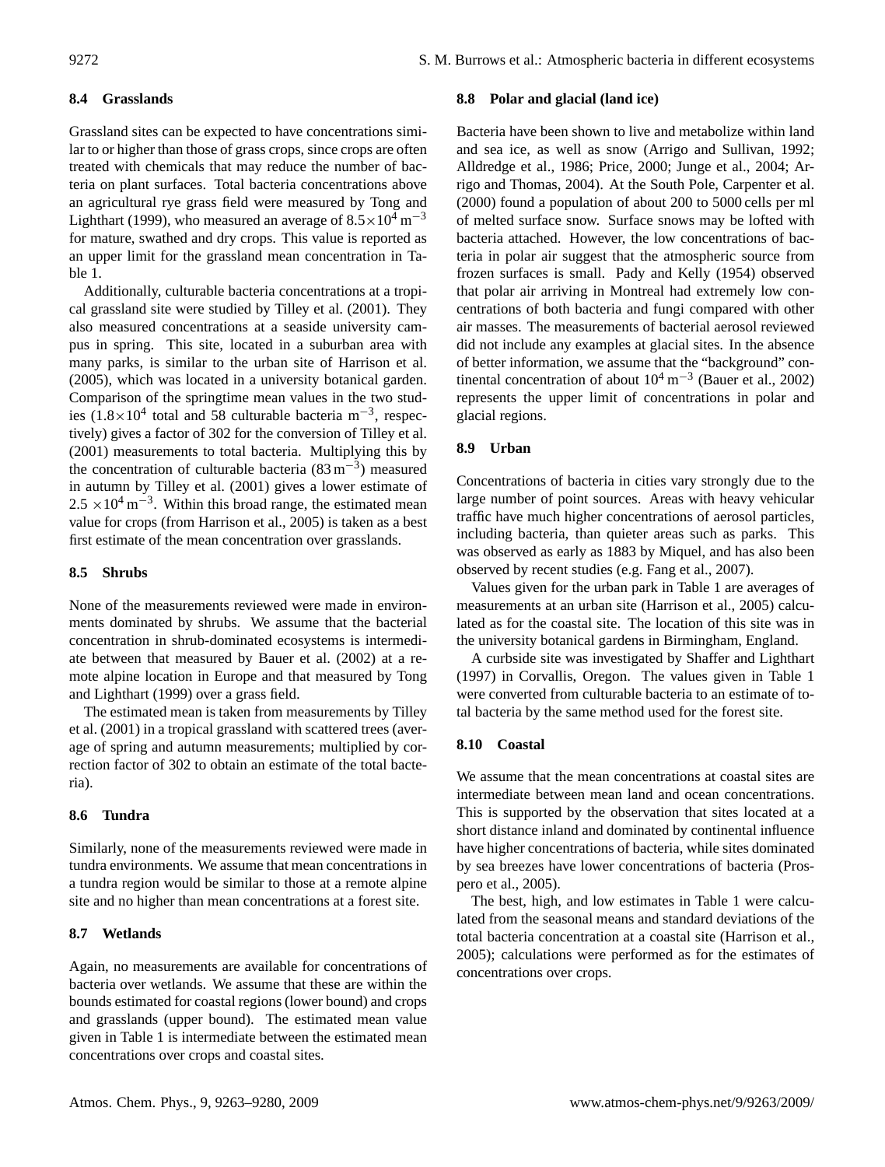# **8.4 Grasslands**

Grassland sites can be expected to have concentrations similar to or higher than those of grass crops, since crops are often treated with chemicals that may reduce the number of bacteria on plant surfaces. Total bacteria concentrations above an agricultural rye grass field were measured by [Tong and](#page-17-15) [Lighthart](#page-17-15) [\(1999\)](#page-17-15), who measured an average of  $8.5 \times 10^4$  m<sup>-3</sup> for mature, swathed and dry crops. This value is reported as an upper limit for the grassland mean concentration in Table [1.](#page-7-0)

Additionally, culturable bacteria concentrations at a tropical grassland site were studied by [Tilley et al.](#page-17-23) [\(2001\)](#page-17-23). They also measured concentrations at a seaside university campus in spring. This site, located in a suburban area with many parks, is similar to the urban site of [Harrison et al.](#page-15-21) [\(2005\)](#page-15-21), which was located in a university botanical garden. Comparison of the springtime mean values in the two studies  $(1.8 \times 10^4$  total and 58 culturable bacteria m<sup>-3</sup>, respectively) gives a factor of 302 for the conversion of [Tilley et al.](#page-17-23) [\(2001\)](#page-17-23) measurements to total bacteria. Multiplying this by the concentration of culturable bacteria  $(83 \text{ m}^{-3})$  measured in autumn by [Tilley et al.](#page-17-23) [\(2001\)](#page-17-23) gives a lower estimate of  $2.5 \times 10^{4} \text{ m}^{-3}$ . Within this broad range, the estimated mean value for crops (from [Harrison et al.,](#page-15-21) [2005\)](#page-15-21) is taken as a best first estimate of the mean concentration over grasslands.

# **8.5 Shrubs**

None of the measurements reviewed were made in environments dominated by shrubs. We assume that the bacterial concentration in shrub-dominated ecosystems is intermediate between that measured by [Bauer et al.](#page-13-0) [\(2002\)](#page-13-0) at a remote alpine location in Europe and that measured by [Tong](#page-17-15) [and Lighthart](#page-17-15) [\(1999\)](#page-17-15) over a grass field.

The estimated mean is taken from measurements by [Tilley](#page-17-23) [et al.](#page-17-23) [\(2001\)](#page-17-23) in a tropical grassland with scattered trees (average of spring and autumn measurements; multiplied by correction factor of 302 to obtain an estimate of the total bacteria).

## **8.6 Tundra**

Similarly, none of the measurements reviewed were made in tundra environments. We assume that mean concentrations in a tundra region would be similar to those at a remote alpine site and no higher than mean concentrations at a forest site.

## **8.7 Wetlands**

Again, no measurements are available for concentrations of bacteria over wetlands. We assume that these are within the bounds estimated for coastal regions (lower bound) and crops and grasslands (upper bound). The estimated mean value given in Table [1](#page-7-0) is intermediate between the estimated mean concentrations over crops and coastal sites.

# **8.8 Polar and glacial (land ice)**

Bacteria have been shown to live and metabolize within land and sea ice, as well as snow [\(Arrigo and Sullivan,](#page-13-20) [1992;](#page-13-20) [Alldredge et al.,](#page-13-21) [1986;](#page-13-21) [Price,](#page-16-26) [2000;](#page-16-26) [Junge et al.,](#page-15-31) [2004;](#page-15-31) [Ar](#page-13-22)[rigo and Thomas,](#page-13-22) [2004\)](#page-13-22). At the South Pole, [Carpenter et al.](#page-14-26) [\(2000\)](#page-14-26) found a population of about 200 to 5000 cells per ml of melted surface snow. Surface snows may be lofted with bacteria attached. However, the low concentrations of bacteria in polar air suggest that the atmospheric source from frozen surfaces is small. [Pady and Kelly](#page-16-23) [\(1954\)](#page-16-23) observed that polar air arriving in Montreal had extremely low concentrations of both bacteria and fungi compared with other air masses. The measurements of bacterial aerosol reviewed did not include any examples at glacial sites. In the absence of better information, we assume that the "background" continental concentration of about  $10^4 \text{ m}^{-3}$  [\(Bauer et al.,](#page-13-0) [2002\)](#page-13-0) represents the upper limit of concentrations in polar and glacial regions.

# **8.9 Urban**

Concentrations of bacteria in cities vary strongly due to the large number of point sources. Areas with heavy vehicular traffic have much higher concentrations of aerosol particles, including bacteria, than quieter areas such as parks. This was observed as early as [1883](#page-16-15) by [Miquel,](#page-16-15) and has also been observed by recent studies (e.g. [Fang et al.,](#page-14-27) [2007\)](#page-14-27).

Values given for the urban park in Table [1](#page-7-0) are averages of measurements at an urban site [\(Harrison et al.,](#page-15-21) [2005\)](#page-15-21) calculated as for the coastal site. The location of this site was in the university botanical gardens in Birmingham, England.

A curbside site was investigated by [Shaffer and Lighthart](#page-17-20) [\(1997\)](#page-17-20) in Corvallis, Oregon. The values given in Table [1](#page-7-0) were converted from culturable bacteria to an estimate of total bacteria by the same method used for the forest site.

#### **8.10 Coastal**

We assume that the mean concentrations at coastal sites are intermediate between mean land and ocean concentrations. This is supported by the observation that sites located at a short distance inland and dominated by continental influence have higher concentrations of bacteria, while sites dominated by sea breezes have lower concentrations of bacteria [\(Pros](#page-16-0)[pero et al.,](#page-16-0) [2005\)](#page-16-0).

The best, high, and low estimates in Table [1](#page-7-0) were calculated from the seasonal means and standard deviations of the total bacteria concentration at a coastal site [\(Harrison et al.,](#page-15-21) [2005\)](#page-15-21); calculations were performed as for the estimates of concentrations over crops.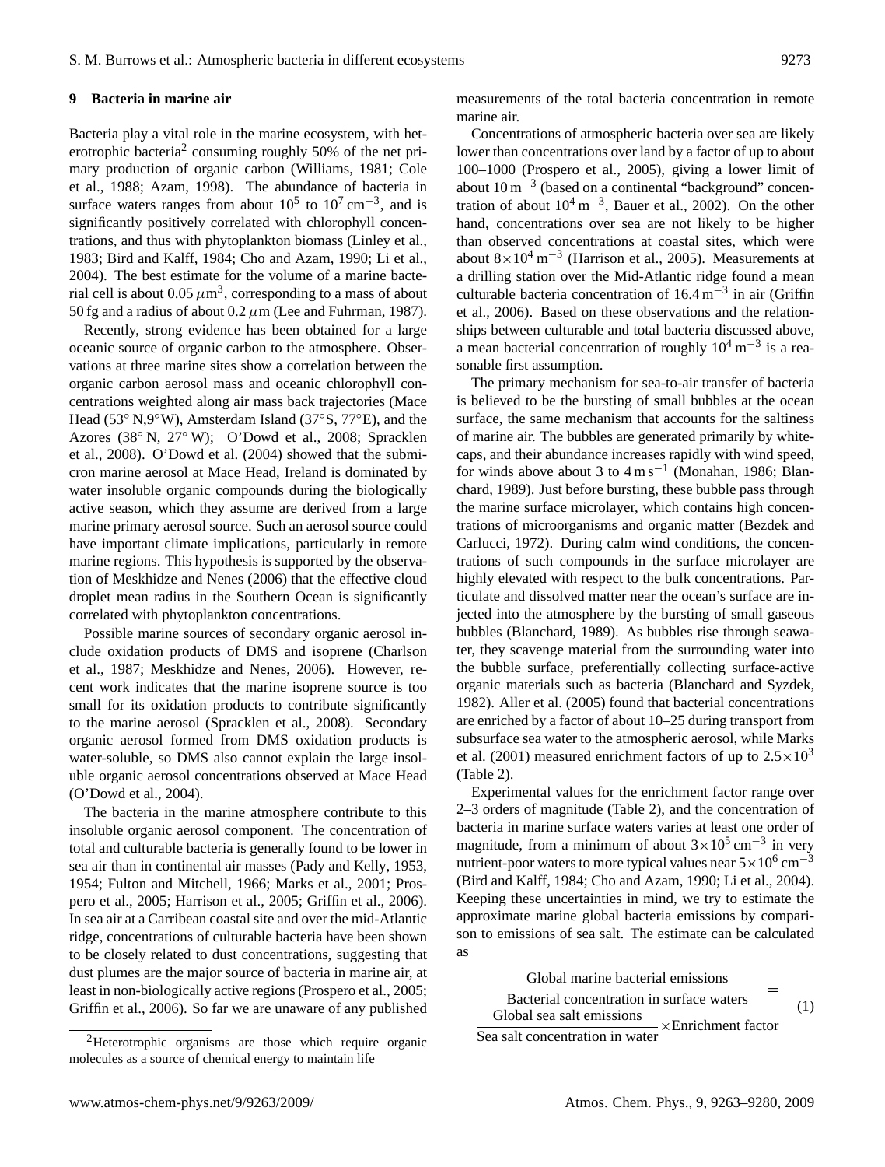#### **9 Bacteria in marine air**

Bacteria play a vital role in the marine ecosystem, with het-erotrophic bacteria<sup>[2](#page-10-0)</sup> consuming roughly 50% of the net primary production of organic carbon [\(Williams,](#page-17-26) [1981;](#page-17-26) [Cole](#page-14-28) [et al.,](#page-14-28) [1988;](#page-14-28) [Azam,](#page-13-23) [1998\)](#page-13-23). The abundance of bacteria in surface waters ranges from about  $10^5$  to  $10^7 \text{ cm}^{-3}$ , and is significantly positively correlated with chlorophyll concentrations, and thus with phytoplankton biomass [\(Linley et al.,](#page-15-32) [1983;](#page-15-32) [Bird and Kalff,](#page-13-24) [1984;](#page-13-24) [Cho and Azam,](#page-14-29) [1990;](#page-14-29) [Li et al.,](#page-15-33) [2004\)](#page-15-33). The best estimate for the volume of a marine bacterial cell is about 0.05  $\mu$ m<sup>3</sup>, corresponding to a mass of about 50 fg and a radius of about  $0.2 \mu$ m [\(Lee and Fuhrman,](#page-15-34) [1987\)](#page-15-34).

Recently, strong evidence has been obtained for a large oceanic source of organic carbon to the atmosphere. Observations at three marine sites show a correlation between the organic carbon aerosol mass and oceanic chlorophyll concentrations weighted along air mass back trajectories (Mace Head (53◦ N,9◦W), Amsterdam Island (37◦S, 77◦E), and the Azores (38◦ N, 27◦ W); [O'Dowd et al.,](#page-16-27) [2008;](#page-16-27) [Spracklen](#page-17-27) [et al.,](#page-17-27) [2008\)](#page-17-27). [O'Dowd et al.](#page-16-28) [\(2004\)](#page-16-28) showed that the submicron marine aerosol at Mace Head, Ireland is dominated by water insoluble organic compounds during the biologically active season, which they assume are derived from a large marine primary aerosol source. Such an aerosol source could have important climate implications, particularly in remote marine regions. This hypothesis is supported by the observation of [Meskhidze and Nenes](#page-16-29) [\(2006\)](#page-16-29) that the effective cloud droplet mean radius in the Southern Ocean is significantly correlated with phytoplankton concentrations.

Possible marine sources of secondary organic aerosol include oxidation products of DMS and isoprene [\(Charlson](#page-14-30) [et al.,](#page-14-30) [1987;](#page-14-30) [Meskhidze and Nenes,](#page-16-29) [2006\)](#page-16-29). However, recent work indicates that the marine isoprene source is too small for its oxidation products to contribute significantly to the marine aerosol [\(Spracklen et al.,](#page-17-27) [2008\)](#page-17-27). Secondary organic aerosol formed from DMS oxidation products is water-soluble, so DMS also cannot explain the large insoluble organic aerosol concentrations observed at Mace Head [\(O'Dowd et al.,](#page-16-28) [2004\)](#page-16-28).

The bacteria in the marine atmosphere contribute to this insoluble organic aerosol component. The concentration of total and culturable bacteria is generally found to be lower in sea air than in continental air masses [\(Pady and Kelly,](#page-16-30) [1953,](#page-16-30) [1954;](#page-16-23) [Fulton and Mitchell,](#page-14-31) [1966;](#page-14-31) [Marks et al.,](#page-16-31) [2001;](#page-16-31) [Pros](#page-16-0)[pero et al.,](#page-16-0) [2005;](#page-16-0) [Harrison et al.,](#page-15-21) [2005;](#page-15-21) [Griffin et al.,](#page-15-2) [2006\)](#page-15-2). In sea air at a Carribean coastal site and over the mid-Atlantic ridge, concentrations of culturable bacteria have been shown to be closely related to dust concentrations, suggesting that dust plumes are the major source of bacteria in marine air, at least in non-biologically active regions [\(Prospero et al.,](#page-16-0) [2005;](#page-16-0) [Griffin et al.,](#page-15-2) [2006\)](#page-15-2). So far we are unaware of any published measurements of the total bacteria concentration in remote marine air.

Concentrations of atmospheric bacteria over sea are likely lower than concentrations over land by a factor of up to about 100–1000 [\(Prospero et al.,](#page-16-0) [2005\)](#page-16-0), giving a lower limit of about 10 m−<sup>3</sup> (based on a continental "background" concentration of about  $10^4 \text{ m}^{-3}$ , [Bauer et al.,](#page-13-0) [2002\)](#page-13-0). On the other hand, concentrations over sea are not likely to be higher than observed concentrations at coastal sites, which were about  $8 \times 10^4$  m<sup>-3</sup> [\(Harrison et al.,](#page-15-21) [2005\)](#page-15-21). Measurements at a drilling station over the Mid-Atlantic ridge found a mean culturable bacteria concentration of  $16.4 \text{ m}^{-3}$  in air [\(Griffin](#page-15-2) [et al.,](#page-15-2) [2006\)](#page-15-2). Based on these observations and the relationships between culturable and total bacteria discussed above, a mean bacterial concentration of roughly 10<sup>4</sup> m−<sup>3</sup> is a reasonable first assumption.

The primary mechanism for sea-to-air transfer of bacteria is believed to be the bursting of small bubbles at the ocean surface, the same mechanism that accounts for the saltiness of marine air. The bubbles are generated primarily by whitecaps, and their abundance increases rapidly with wind speed, for winds above about 3 to  $4 \text{ m s}^{-1}$  [\(Monahan,](#page-16-32) [1986;](#page-16-32) [Blan](#page-13-25)[chard,](#page-13-25) [1989\)](#page-13-25). Just before bursting, these bubble pass through the marine surface microlayer, which contains high concentrations of microorganisms and organic matter [\(Bezdek and](#page-13-26) [Carlucci,](#page-13-26) [1972\)](#page-13-26). During calm wind conditions, the concentrations of such compounds in the surface microlayer are highly elevated with respect to the bulk concentrations. Particulate and dissolved matter near the ocean's surface are injected into the atmosphere by the bursting of small gaseous bubbles [\(Blanchard,](#page-13-25) [1989\)](#page-13-25). As bubbles rise through seawater, they scavenge material from the surrounding water into the bubble surface, preferentially collecting surface-active organic materials such as bacteria [\(Blanchard and Syzdek,](#page-13-27) [1982\)](#page-13-27). [Aller et al.](#page-13-28) [\(2005\)](#page-13-28) found that bacterial concentrations are enriched by a factor of about 10–25 during transport from subsurface sea water to the atmospheric aerosol, while [Marks](#page-16-31) [et al.](#page-16-31) [\(2001\)](#page-16-31) measured enrichment factors of up to  $2.5 \times 10^3$ (Table [2\)](#page-11-0).

Experimental values for the enrichment factor range over 2–3 orders of magnitude (Table [2\)](#page-11-0), and the concentration of bacteria in marine surface waters varies at least one order of magnitude, from a minimum of about  $3 \times 10^5$  cm<sup>-3</sup> in very nutrient-poor waters to more typical values near  $5 \times 10^6$  cm<sup>-3</sup> [\(Bird and Kalff,](#page-13-24) [1984;](#page-13-24) [Cho and Azam,](#page-14-29) [1990;](#page-14-29) [Li et al.,](#page-15-33) [2004\)](#page-15-33). Keeping these uncertainties in mind, we try to estimate the approximate marine global bacteria emissions by comparison to emissions of sea salt. The estimate can be calculated as

| Global marine bacterial emissions                  |     |  |
|----------------------------------------------------|-----|--|
| Bacterial concentration in surface waters          |     |  |
| Global sea salt emissions<br>- × Enrichment factor | (1) |  |
| so solt concontration in motor                     |     |  |

Sea salt concentration in water

<span id="page-10-0"></span><sup>&</sup>lt;sup>2</sup>Heterotrophic organisms are those which require organic molecules as a source of chemical energy to maintain life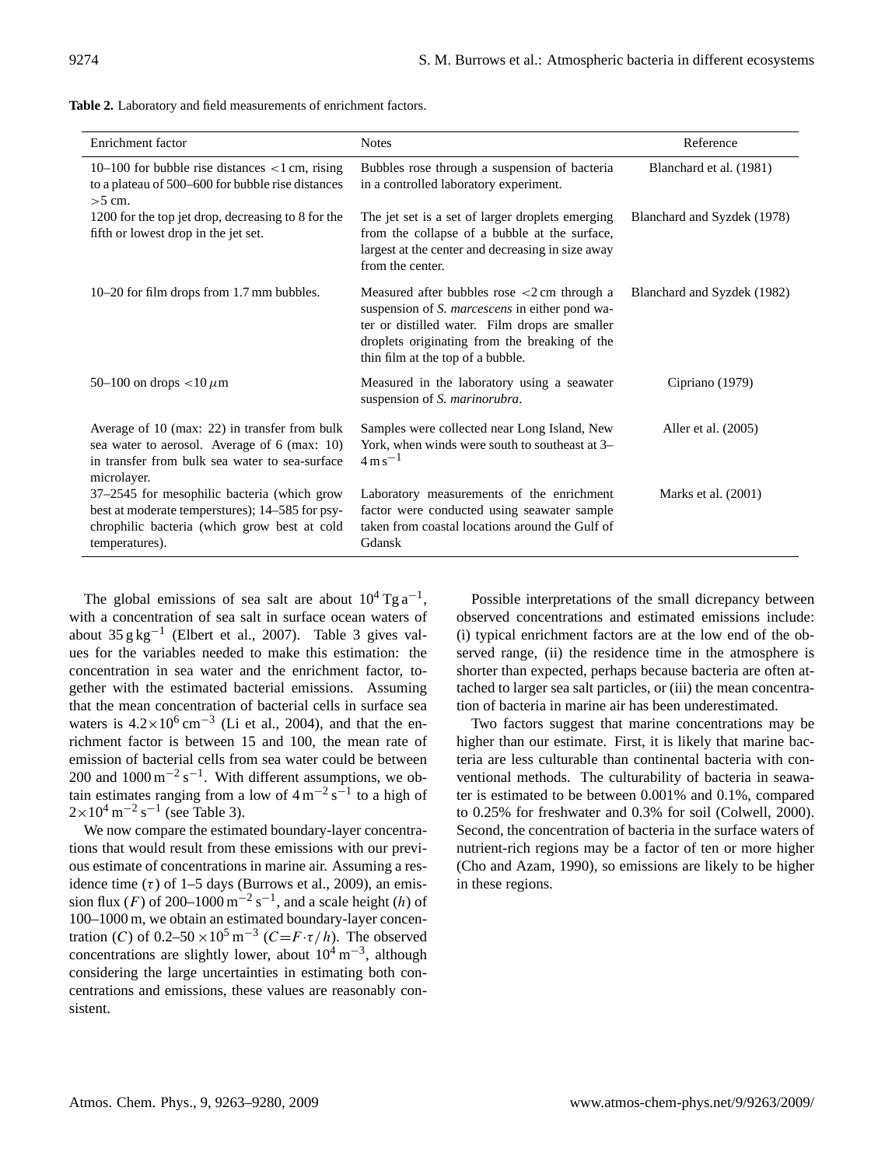<span id="page-11-0"></span>

| Enrichment factor                                                                                                                                                | <b>Notes</b>                                                                                                                                                                                                                             | Reference                   |
|------------------------------------------------------------------------------------------------------------------------------------------------------------------|------------------------------------------------------------------------------------------------------------------------------------------------------------------------------------------------------------------------------------------|-----------------------------|
| 10–100 for bubble rise distances $\langle$ 1 cm, rising<br>to a plateau of 500-600 for bubble rise distances<br>$>5$ cm.                                         | Bubbles rose through a suspension of bacteria<br>in a controlled laboratory experiment.                                                                                                                                                  | Blanchard et al. (1981)     |
| 1200 for the top jet drop, decreasing to 8 for the<br>fifth or lowest drop in the jet set.                                                                       | The jet set is a set of larger droplets emerging<br>from the collapse of a bubble at the surface,<br>largest at the center and decreasing in size away<br>from the center.                                                               | Blanchard and Syzdek (1978) |
| 10–20 for film drops from 1.7 mm bubbles.                                                                                                                        | Measured after bubbles rose $<$ 2 cm through a<br>suspension of S. marcescens in either pond wa-<br>ter or distilled water. Film drops are smaller<br>droplets originating from the breaking of the<br>thin film at the top of a bubble. | Blanchard and Syzdek (1982) |
| 50–100 on drops $<$ 10 $\mu$ m                                                                                                                                   | Measured in the laboratory using a seawater<br>suspension of S. marinorubra.                                                                                                                                                             | Cipriano (1979)             |
| Average of 10 (max: 22) in transfer from bulk<br>sea water to aerosol. Average of 6 (max: 10)<br>in transfer from bulk sea water to sea-surface<br>microlayer.   | Samples were collected near Long Island, New<br>York, when winds were south to southeast at 3-<br>$4 \,\mathrm{m\,s}^{-1}$                                                                                                               | Aller et al. $(2005)$       |
| 37-2545 for mesophilic bacteria (which grow<br>best at moderate temperstures); 14-585 for psy-<br>chrophilic bacteria (which grow best at cold<br>temperatures). | Laboratory measurements of the enrichment<br>factor were conducted using seawater sample<br>taken from coastal locations around the Gulf of<br>Gdansk                                                                                    | Marks et al. (2001)         |

The global emissions of sea salt are about  $10^4$  Tg a<sup>-1</sup>, with a concentration of sea salt in surface ocean waters of about  $35 \text{ g kg}^{-1}$  $35 \text{ g kg}^{-1}$  [\(Elbert et al.,](#page-14-0) [2007\)](#page-14-0). Table 3 gives values for the variables needed to make this estimation: the concentration in sea water and the enrichment factor, together with the estimated bacterial emissions. Assuming that the mean concentration of bacterial cells in surface sea waters is  $4.2 \times 10^6$  cm<sup>-3</sup> [\(Li et al.,](#page-15-33) [2004\)](#page-15-33), and that the enrichment factor is between 15 and 100, the mean rate of emission of bacterial cells from sea water could be between 200 and  $1000 \text{ m}^{-2} \text{ s}^{-1}$ . With different assumptions, we obtain estimates ranging from a low of  $4 \text{ m}^{-2} \text{ s}^{-1}$  to a high of  $2 \times 10^4 \,\mathrm{m}^{-2} \,\mathrm{s}^{-1}$  (see Table [3\)](#page-12-0).

We now compare the estimated boundary-layer concentrations that would result from these emissions with our previous estimate of concentrations in marine air. Assuming a residence time  $(\tau)$  of 1–5 days [\(Burrows et al.,](#page-13-11) [2009\)](#page-13-11), an emission flux (F) of 200–1000 m<sup>-2</sup> s<sup>-1</sup>, and a scale height (h) of 100–1000 m, we obtain an estimated boundary-layer concentration (C) of  $0.2-50 \times 10^5$  m<sup>-3</sup> (C=F· $\tau/h$ ). The observed concentrations are slightly lower, about  $10^4 \text{ m}^{-3}$ , although considering the large uncertainties in estimating both concentrations and emissions, these values are reasonably consistent.

Possible interpretations of the small dicrepancy between observed concentrations and estimated emissions include: (i) typical enrichment factors are at the low end of the observed range, (ii) the residence time in the atmosphere is shorter than expected, perhaps because bacteria are often attached to larger sea salt particles, or (iii) the mean concentration of bacteria in marine air has been underestimated.

Two factors suggest that marine concentrations may be higher than our estimate. First, it is likely that marine bacteria are less culturable than continental bacteria with conventional methods. The culturability of bacteria in seawater is estimated to be between 0.001% and 0.1%, compared to 0.25% for freshwater and 0.3% for soil [\(Colwell,](#page-14-11) [2000\)](#page-14-11). Second, the concentration of bacteria in the surface waters of nutrient-rich regions may be a factor of ten or more higher [\(Cho and Azam,](#page-14-29) [1990\)](#page-14-29), so emissions are likely to be higher in these regions.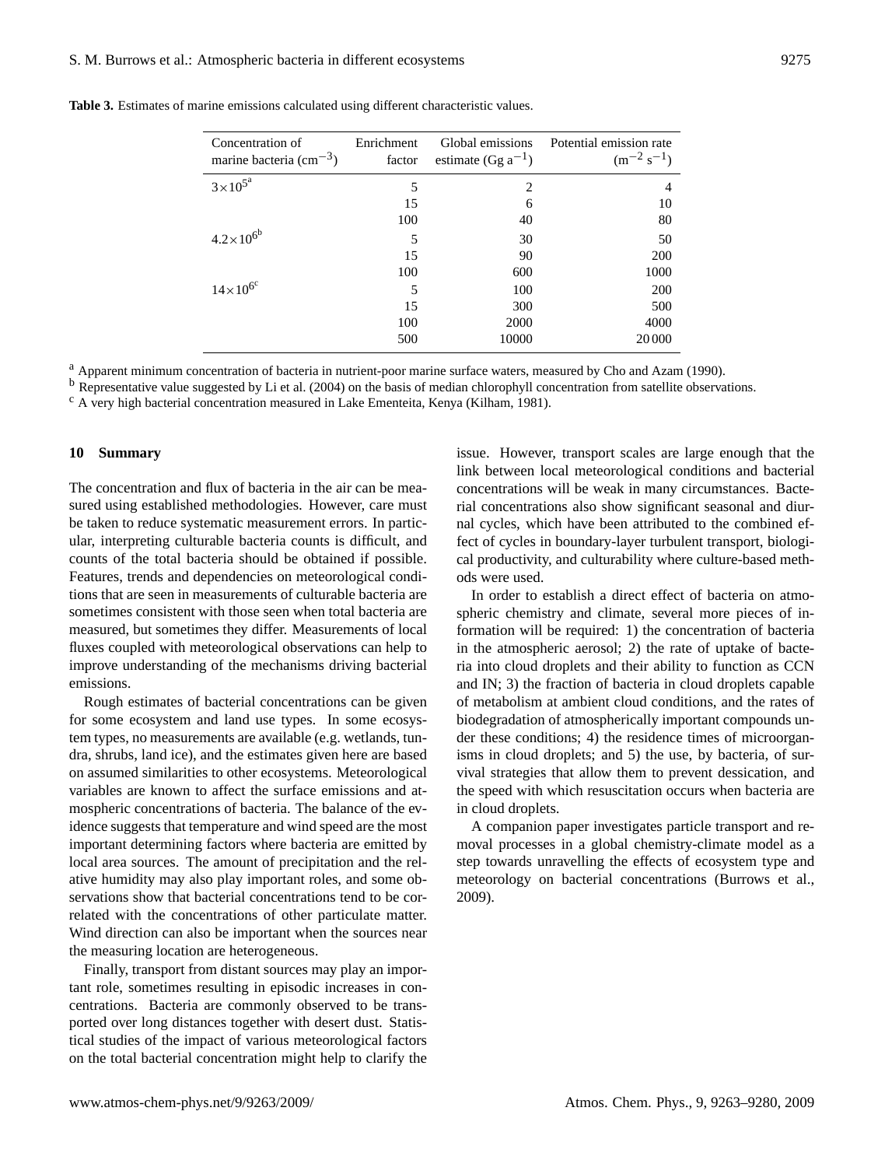| Concentration of<br>marine bacteria $\text{cm}^{-3}$ ) | Enrichment<br>factor | Global emissions<br>estimate (Gg $a^{-1}$ ) | Potential emission rate<br>$(m^{-2} s^{-1})$ |
|--------------------------------------------------------|----------------------|---------------------------------------------|----------------------------------------------|
| $3 \times 10^{5^a}$                                    | 5                    | 2                                           | 4                                            |
|                                                        | 15                   | 6                                           | 10                                           |
|                                                        | 100                  | 40                                          | 80                                           |
| $4.2 \times 10^{6^b}$                                  | 5                    | 30                                          | 50                                           |
|                                                        | 15                   | 90                                          | 200                                          |
|                                                        | 100                  | 600                                         | 1000                                         |
| $14 \times 10^{6^c}$                                   | 5                    | 100                                         | 200                                          |
|                                                        | 15                   | 300                                         | 500                                          |
|                                                        | 100                  | 2000                                        | 4000                                         |
|                                                        | 500                  | 10000                                       | 20 000                                       |

<span id="page-12-0"></span>**Table 3.** Estimates of marine emissions calculated using different characteristic values.

<sup>a</sup> Apparent minimum concentration of bacteria in nutrient-poor marine surface waters, measured by [Cho and Azam](#page-14-29) [\(1990\)](#page-14-29).

<sup>b</sup> Representative value suggested by [Li et al.](#page-15-33) [\(2004\)](#page-15-33) on the basis of median chlorophyll concentration from satellite observations.

<sup>c</sup> A very high bacterial concentration measured in Lake Ementeita, Kenya [\(Kilham,](#page-15-35) [1981\)](#page-15-35).

#### **10 Summary**

The concentration and flux of bacteria in the air can be measured using established methodologies. However, care must be taken to reduce systematic measurement errors. In particular, interpreting culturable bacteria counts is difficult, and counts of the total bacteria should be obtained if possible. Features, trends and dependencies on meteorological conditions that are seen in measurements of culturable bacteria are sometimes consistent with those seen when total bacteria are measured, but sometimes they differ. Measurements of local fluxes coupled with meteorological observations can help to improve understanding of the mechanisms driving bacterial emissions.

Rough estimates of bacterial concentrations can be given for some ecosystem and land use types. In some ecosystem types, no measurements are available (e.g. wetlands, tundra, shrubs, land ice), and the estimates given here are based on assumed similarities to other ecosystems. Meteorological variables are known to affect the surface emissions and atmospheric concentrations of bacteria. The balance of the evidence suggests that temperature and wind speed are the most important determining factors where bacteria are emitted by local area sources. The amount of precipitation and the relative humidity may also play important roles, and some observations show that bacterial concentrations tend to be correlated with the concentrations of other particulate matter. Wind direction can also be important when the sources near the measuring location are heterogeneous.

Finally, transport from distant sources may play an important role, sometimes resulting in episodic increases in concentrations. Bacteria are commonly observed to be transported over long distances together with desert dust. Statistical studies of the impact of various meteorological factors on the total bacterial concentration might help to clarify the issue. However, transport scales are large enough that the link between local meteorological conditions and bacterial concentrations will be weak in many circumstances. Bacterial concentrations also show significant seasonal and diurnal cycles, which have been attributed to the combined effect of cycles in boundary-layer turbulent transport, biological productivity, and culturability where culture-based methods were used.

In order to establish a direct effect of bacteria on atmospheric chemistry and climate, several more pieces of information will be required: 1) the concentration of bacteria in the atmospheric aerosol; 2) the rate of uptake of bacteria into cloud droplets and their ability to function as CCN and IN; 3) the fraction of bacteria in cloud droplets capable of metabolism at ambient cloud conditions, and the rates of biodegradation of atmospherically important compounds under these conditions; 4) the residence times of microorganisms in cloud droplets; and 5) the use, by bacteria, of survival strategies that allow them to prevent dessication, and the speed with which resuscitation occurs when bacteria are in cloud droplets.

A companion paper investigates particle transport and removal processes in a global chemistry-climate model as a step towards unravelling the effects of ecosystem type and meteorology on bacterial concentrations [\(Burrows et al.,](#page-13-11) [2009\)](#page-13-11).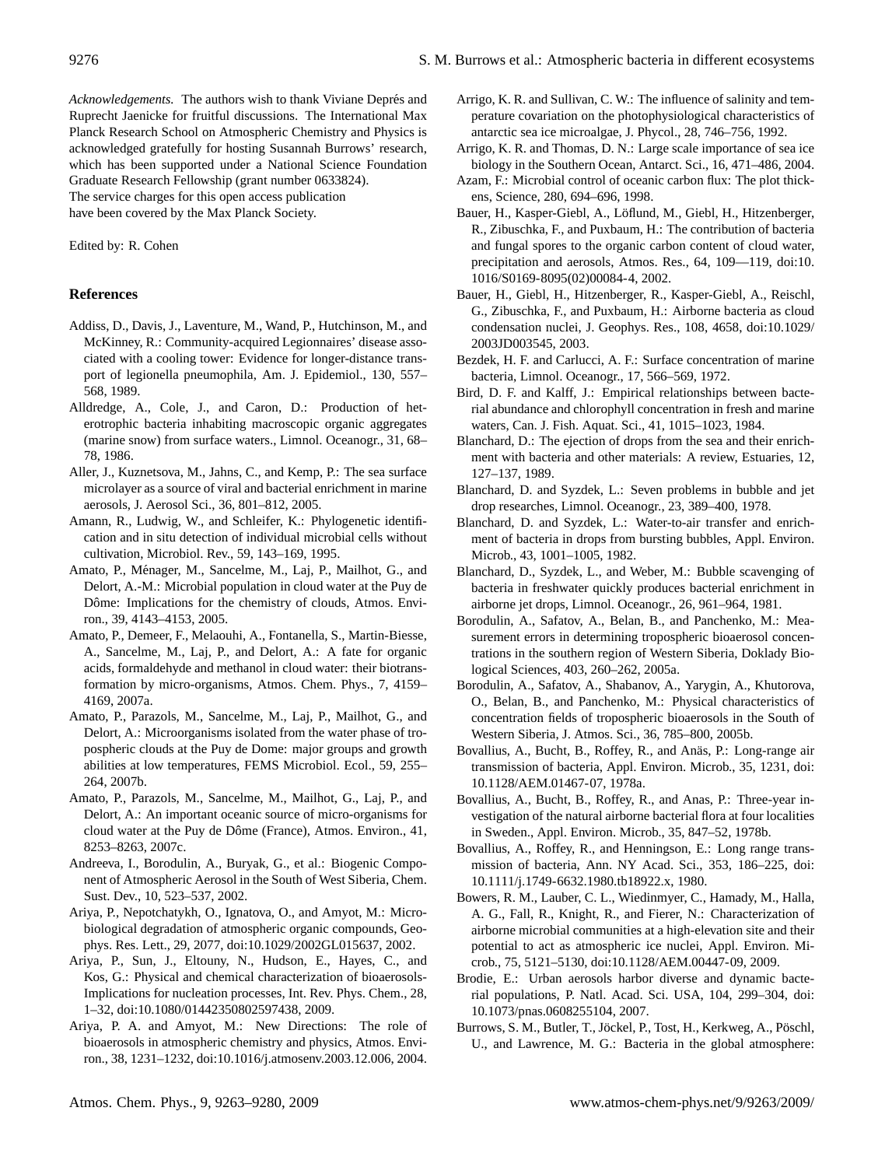Acknowledgements. The authors wish to thank Viviane Deprés and Ruprecht Jaenicke for fruitful discussions. The International Max Planck Research School on Atmospheric Chemistry and Physics is acknowledged gratefully for hosting Susannah Burrows' research, which has been supported under a National Science Foundation Graduate Research Fellowship (grant number 0633824).

The service charges for this open access publication

have been covered by the Max Planck Society.

Edited by: R. Cohen

## **References**

- <span id="page-13-7"></span>Addiss, D., Davis, J., Laventure, M., Wand, P., Hutchinson, M., and McKinney, R.: Community-acquired Legionnaires' disease associated with a cooling tower: Evidence for longer-distance transport of legionella pneumophila, Am. J. Epidemiol., 130, 557– 568, 1989.
- <span id="page-13-21"></span>Alldredge, A., Cole, J., and Caron, D.: Production of heterotrophic bacteria inhabiting macroscopic organic aggregates (marine snow) from surface waters., Limnol. Oceanogr., 31, 68– 78, 1986.
- <span id="page-13-28"></span>Aller, J., Kuznetsova, M., Jahns, C., and Kemp, P.: The sea surface microlayer as a source of viral and bacterial enrichment in marine aerosols, J. Aerosol Sci., 36, 801–812, 2005.
- <span id="page-13-12"></span>Amann, R., Ludwig, W., and Schleifer, K.: Phylogenetic identification and in situ detection of individual microbial cells without cultivation, Microbiol. Rev., 59, 143–169, 1995.
- <span id="page-13-4"></span>Amato, P., Menager, M., Sancelme, M., Laj, P., Mailhot, G., and ´ Delort, A.-M.: Microbial population in cloud water at the Puy de Dôme: Implications for the chemistry of clouds, Atmos. Environ., 39, 4143–4153, 2005.
- <span id="page-13-5"></span>Amato, P., Demeer, F., Melaouhi, A., Fontanella, S., Martin-Biesse, A., Sancelme, M., Laj, P., and Delort, A.: A fate for organic acids, formaldehyde and methanol in cloud water: their biotransformation by micro-organisms, Atmos. Chem. Phys., 7, 4159– 4169, 2007a.
- <span id="page-13-6"></span>Amato, P., Parazols, M., Sancelme, M., Laj, P., Mailhot, G., and Delort, A.: Microorganisms isolated from the water phase of tropospheric clouds at the Puy de Dome: major groups and growth abilities at low temperatures, FEMS Microbiol. Ecol., 59, 255– 264, 2007b.
- <span id="page-13-13"></span>Amato, P., Parazols, M., Sancelme, M., Mailhot, G., Laj, P., and Delort, A.: An important oceanic source of micro-organisms for cloud water at the Puy de Dôme (France), Atmos. Environ., 41, 8253–8263, 2007c.
- <span id="page-13-16"></span>Andreeva, I., Borodulin, A., Buryak, G., et al.: Biogenic Component of Atmospheric Aerosol in the South of West Siberia, Chem. Sust. Dev., 10, 523–537, 2002.
- <span id="page-13-3"></span>Ariya, P., Nepotchatykh, O., Ignatova, O., and Amyot, M.: Microbiological degradation of atmospheric organic compounds, Geophys. Res. Lett., 29, 2077, doi:10.1029/2002GL015637, 2002.
- <span id="page-13-2"></span>Ariya, P., Sun, J., Eltouny, N., Hudson, E., Hayes, C., and Kos, G.: Physical and chemical characterization of bioaerosols-Implications for nucleation processes, Int. Rev. Phys. Chem., 28, 1–32, doi:10.1080/01442350802597438, 2009.
- <span id="page-13-10"></span>Ariya, P. A. and Amyot, M.: New Directions: The role of bioaerosols in atmospheric chemistry and physics, Atmos. Environ., 38, 1231–1232, doi:10.1016/j.atmosenv.2003.12.006, 2004.
- <span id="page-13-20"></span>Arrigo, K. R. and Sullivan, C. W.: The influence of salinity and temperature covariation on the photophysiological characteristics of antarctic sea ice microalgae, J. Phycol., 28, 746–756, 1992.
- <span id="page-13-22"></span>Arrigo, K. R. and Thomas, D. N.: Large scale importance of sea ice biology in the Southern Ocean, Antarct. Sci., 16, 471–486, 2004.
- <span id="page-13-23"></span>Azam, F.: Microbial control of oceanic carbon flux: The plot thickens, Science, 280, 694–696, 1998.
- <span id="page-13-0"></span>Bauer, H., Kasper-Giebl, A., Löflund, M., Giebl, H., Hitzenberger, R., Zibuschka, F., and Puxbaum, H.: The contribution of bacteria and fungal spores to the organic carbon content of cloud water, precipitation and aerosols, Atmos. Res., 64, 109—119, doi:10. 1016/S0169-8095(02)00084-4, 2002.
- <span id="page-13-1"></span>Bauer, H., Giebl, H., Hitzenberger, R., Kasper-Giebl, A., Reischl, G., Zibuschka, F., and Puxbaum, H.: Airborne bacteria as cloud condensation nuclei, J. Geophys. Res., 108, 4658, doi:10.1029/ 2003JD003545, 2003.
- <span id="page-13-26"></span>Bezdek, H. F. and Carlucci, A. F.: Surface concentration of marine bacteria, Limnol. Oceanogr., 17, 566–569, 1972.
- <span id="page-13-24"></span>Bird, D. F. and Kalff, J.: Empirical relationships between bacterial abundance and chlorophyll concentration in fresh and marine waters, Can. J. Fish. Aquat. Sci., 41, 1015–1023, 1984.
- <span id="page-13-25"></span>Blanchard, D.: The ejection of drops from the sea and their enrichment with bacteria and other materials: A review, Estuaries, 12, 127–137, 1989.
- <span id="page-13-30"></span>Blanchard, D. and Syzdek, L.: Seven problems in bubble and jet drop researches, Limnol. Oceanogr., 23, 389–400, 1978.
- <span id="page-13-27"></span>Blanchard, D. and Syzdek, L.: Water-to-air transfer and enrichment of bacteria in drops from bursting bubbles, Appl. Environ. Microb., 43, 1001–1005, 1982.
- <span id="page-13-29"></span>Blanchard, D., Syzdek, L., and Weber, M.: Bubble scavenging of bacteria in freshwater quickly produces bacterial enrichment in airborne jet drops, Limnol. Oceanogr., 26, 961–964, 1981.
- <span id="page-13-19"></span>Borodulin, A., Safatov, A., Belan, B., and Panchenko, M.: Measurement errors in determining tropospheric bioaerosol concentrations in the southern region of Western Siberia, Doklady Biological Sciences, 403, 260–262, 2005a.
- <span id="page-13-17"></span>Borodulin, A., Safatov, A., Shabanov, A., Yarygin, A., Khutorova, O., Belan, B., and Panchenko, M.: Physical characteristics of concentration fields of tropospheric bioaerosols in the South of Western Siberia, J. Atmos. Sci., 36, 785–800, 2005b.
- <span id="page-13-8"></span>Bovallius, A., Bucht, B., Roffey, R., and Anäs, P.: Long-range air transmission of bacteria, Appl. Environ. Microb., 35, 1231, doi: 10.1128/AEM.01467-07, 1978a.
- <span id="page-13-18"></span>Bovallius, A., Bucht, B., Roffey, R., and Anas, P.: Three-year investigation of the natural airborne bacterial flora at four localities in Sweden., Appl. Environ. Microb., 35, 847–52, 1978b.
- <span id="page-13-9"></span>Bovallius, A., Roffey, R., and Henningson, E.: Long range transmission of bacteria, Ann. NY Acad. Sci., 353, 186–225, doi: 10.1111/j.1749-6632.1980.tb18922.x, 1980.
- <span id="page-13-15"></span>Bowers, R. M., Lauber, C. L., Wiedinmyer, C., Hamady, M., Halla, A. G., Fall, R., Knight, R., and Fierer, N.: Characterization of airborne microbial communities at a high-elevation site and their potential to act as atmospheric ice nuclei, Appl. Environ. Microb., 75, 5121–5130, doi:10.1128/AEM.00447-09, 2009.
- <span id="page-13-14"></span>Brodie, E.: Urban aerosols harbor diverse and dynamic bacterial populations, P. Natl. Acad. Sci. USA, 104, 299–304, doi: 10.1073/pnas.0608255104, 2007.
- <span id="page-13-11"></span>Burrows, S. M., Butler, T., Jöckel, P., Tost, H., Kerkweg, A., Pöschl, U., and Lawrence, M. G.: Bacteria in the global atmosphere: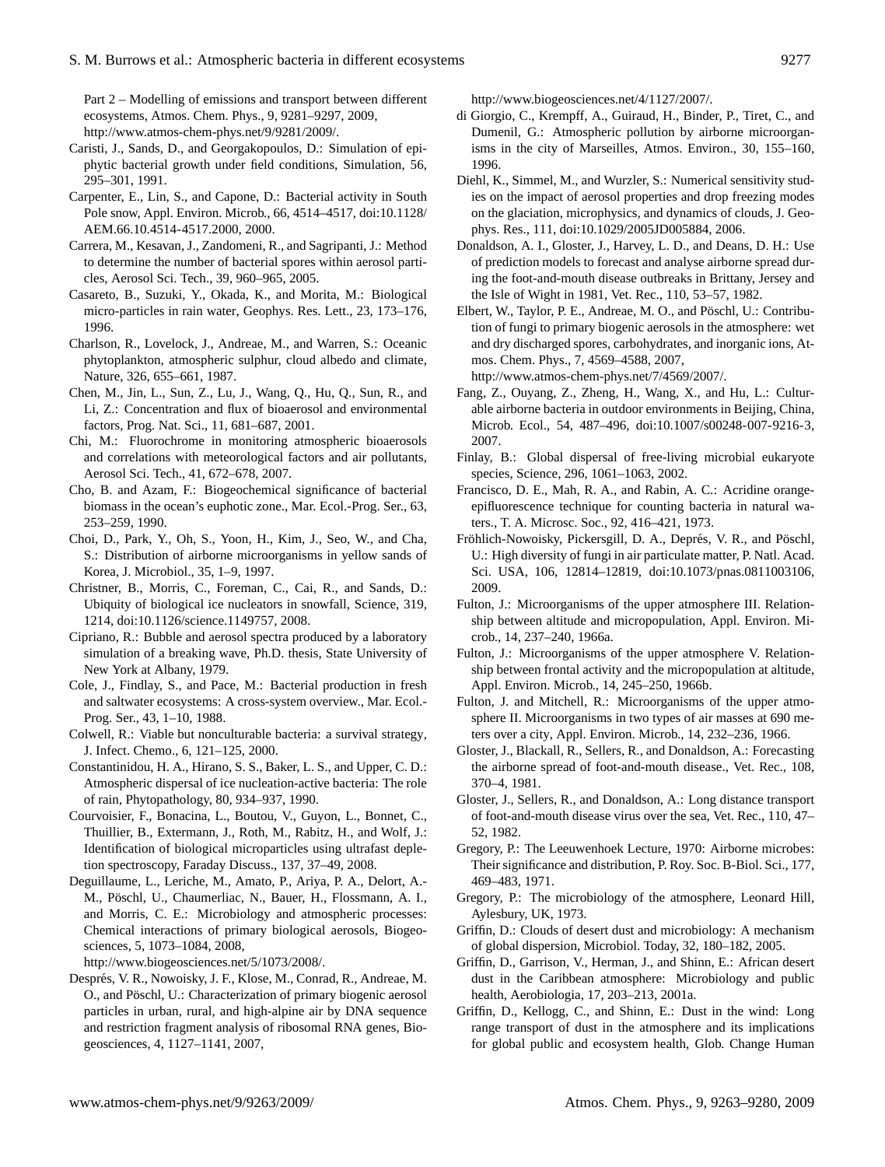Part 2 – Modelling of emissions and transport between different ecosystems, Atmos. Chem. Phys., 9, 9281–9297, 2009, [http://www.atmos-chem-phys.net/9/9281/2009/.](http://www.atmos-chem-phys.net/9/9281/2009/)

- <span id="page-14-3"></span>Caristi, J., Sands, D., and Georgakopoulos, D.: Simulation of epiphytic bacterial growth under field conditions, Simulation, 56, 295–301, 1991.
- <span id="page-14-26"></span>Carpenter, E., Lin, S., and Capone, D.: Bacterial activity in South Pole snow, Appl. Environ. Microb., 66, 4514–4517, doi:10.1128/ AEM.66.10.4514-4517.2000, 2000.
- <span id="page-14-14"></span>Carrera, M., Kesavan, J., Zandomeni, R., and Sagripanti, J.: Method to determine the number of bacterial spores within aerosol particles, Aerosol Sci. Tech., 39, 960–965, 2005.
- <span id="page-14-22"></span>Casareto, B., Suzuki, Y., Okada, K., and Morita, M.: Biological micro-particles in rain water, Geophys. Res. Lett., 23, 173–176, 1996.
- <span id="page-14-30"></span>Charlson, R., Lovelock, J., Andreae, M., and Warren, S.: Oceanic phytoplankton, atmospheric sulphur, cloud albedo and climate, Nature, 326, 655–661, 1987.
- <span id="page-14-20"></span>Chen, M., Jin, L., Sun, Z., Lu, J., Wang, Q., Hu, Q., Sun, R., and Li, Z.: Concentration and flux of bioaerosol and environmental factors, Prog. Nat. Sci., 11, 681–687, 2001.
- <span id="page-14-12"></span>Chi, M.: Fluorochrome in monitoring atmospheric bioaerosols and correlations with meteorological factors and air pollutants, Aerosol Sci. Tech., 41, 672–678, 2007.
- <span id="page-14-29"></span>Cho, B. and Azam, F.: Biogeochemical significance of bacterial biomass in the ocean's euphotic zone., Mar. Ecol.-Prog. Ser., 63, 253–259, 1990.
- Choi, D., Park, Y., Oh, S., Yoon, H., Kim, J., Seo, W., and Cha, S.: Distribution of airborne microorganisms in yellow sands of Korea, J. Microbiol., 35, 1–9, 1997.
- <span id="page-14-5"></span>Christner, B., Morris, C., Foreman, C., Cai, R., and Sands, D.: Ubiquity of biological ice nucleators in snowfall, Science, 319, 1214, doi:10.1126/science.1149757, 2008.
- <span id="page-14-32"></span>Cipriano, R.: Bubble and aerosol spectra produced by a laboratory simulation of a breaking wave, Ph.D. thesis, State University of New York at Albany, 1979.
- <span id="page-14-28"></span>Cole, J., Findlay, S., and Pace, M.: Bacterial production in fresh and saltwater ecosystems: A cross-system overview., Mar. Ecol.- Prog. Ser., 43, 1–10, 1988.
- <span id="page-14-11"></span>Colwell, R.: Viable but nonculturable bacteria: a survival strategy, J. Infect. Chemo., 6, 121–125, 2000.
- <span id="page-14-19"></span>Constantinidou, H. A., Hirano, S. S., Baker, L. S., and Upper, C. D.: Atmospheric dispersal of ice nucleation-active bacteria: The role of rain, Phytopathology, 80, 934–937, 1990.
- <span id="page-14-15"></span>Courvoisier, F., Bonacina, L., Boutou, V., Guyon, L., Bonnet, C., Thuillier, B., Extermann, J., Roth, M., Rabitz, H., and Wolf, J.: Identification of biological microparticles using ultrafast depletion spectroscopy, Faraday Discuss., 137, 37–49, 2008.
- <span id="page-14-6"></span>Deguillaume, L., Leriche, M., Amato, P., Ariya, P. A., Delort, A.- M., Pöschl, U., Chaumerliac, N., Bauer, H., Flossmann, A. I., and Morris, C. E.: Microbiology and atmospheric processes: Chemical interactions of primary biological aerosols, Biogeosciences, 5, 1073–1084, 2008,

[http://www.biogeosciences.net/5/1073/2008/.](http://www.biogeosciences.net/5/1073/2008/)

<span id="page-14-16"></span>Després, V. R., Nowoisky, J. F., Klose, M., Conrad, R., Andreae, M. O., and Pöschl, U.: Characterization of primary biogenic aerosol particles in urban, rural, and high-alpine air by DNA sequence and restriction fragment analysis of ribosomal RNA genes, Biogeosciences, 4, 1127–1141, 2007,

[http://www.biogeosciences.net/4/1127/2007/.](http://www.biogeosciences.net/4/1127/2007/)

- <span id="page-14-21"></span>di Giorgio, C., Krempff, A., Guiraud, H., Binder, P., Tiret, C., and Dumenil, G.: Atmospheric pollution by airborne microorganisms in the city of Marseilles, Atmos. Environ., 30, 155–160, 1996.
- <span id="page-14-4"></span>Diehl, K., Simmel, M., and Wurzler, S.: Numerical sensitivity studies on the impact of aerosol properties and drop freezing modes on the glaciation, microphysics, and dynamics of clouds, J. Geophys. Res., 111, doi:10.1029/2005JD005884, 2006.
- <span id="page-14-10"></span>Donaldson, A. I., Gloster, J., Harvey, L. D., and Deans, D. H.: Use of prediction models to forecast and analyse airborne spread during the foot-and-mouth disease outbreaks in Brittany, Jersey and the Isle of Wight in 1981, Vet. Rec., 110, 53–57, 1982.
- <span id="page-14-0"></span>Elbert, W., Taylor, P. E., Andreae, M. O., and Pöschl, U.: Contribution of fungi to primary biogenic aerosols in the atmosphere: wet and dry discharged spores, carbohydrates, and inorganic ions, Atmos. Chem. Phys., 7, 4569–4588, 2007,
	- [http://www.atmos-chem-phys.net/7/4569/2007/.](http://www.atmos-chem-phys.net/7/4569/2007/)
- <span id="page-14-27"></span>Fang, Z., Ouyang, Z., Zheng, H., Wang, X., and Hu, L.: Culturable airborne bacteria in outdoor environments in Beijing, China, Microb. Ecol., 54, 487–496, doi:10.1007/s00248-007-9216-3, 2007.
- <span id="page-14-7"></span>Finlay, B.: Global dispersal of free-living microbial eukaryote species, Science, 296, 1061–1063, 2002.
- <span id="page-14-13"></span>Francisco, D. E., Mah, R. A., and Rabin, A. C.: Acridine orangeepifluorescence technique for counting bacteria in natural waters., T. A. Microsc. Soc., 92, 416–421, 1973.
- <span id="page-14-17"></span>Fröhlich-Nowoisky, Pickersgill, D. A., Deprés, V. R., and Pöschl, U.: High diversity of fungi in air particulate matter, P. Natl. Acad. Sci. USA, 106, 12814–12819, doi:10.1073/pnas.0811003106, 2009.
- <span id="page-14-18"></span>Fulton, J.: Microorganisms of the upper atmosphere III. Relationship between altitude and micropopulation, Appl. Environ. Microb., 14, 237–240, 1966a.
- Fulton, J.: Microorganisms of the upper atmosphere V. Relationship between frontal activity and the micropopulation at altitude, Appl. Environ. Microb., 14, 245–250, 1966b.
- <span id="page-14-31"></span>Fulton, J. and Mitchell, R.: Microorganisms of the upper atmosphere II. Microorganisms in two types of air masses at 690 meters over a city, Appl. Environ. Microb., 14, 232–236, 1966.
- <span id="page-14-8"></span>Gloster, J., Blackall, R., Sellers, R., and Donaldson, A.: Forecasting the airborne spread of foot-and-mouth disease., Vet. Rec., 108, 370–4, 1981.
- <span id="page-14-9"></span>Gloster, J., Sellers, R., and Donaldson, A.: Long distance transport of foot-and-mouth disease virus over the sea, Vet. Rec., 110, 47– 52, 1982.
- <span id="page-14-1"></span>Gregory, P.: The Leeuwenhoek Lecture, 1970: Airborne microbes: Their significance and distribution, P. Roy. Soc. B-Biol. Sci., 177, 469–483, 1971.
- <span id="page-14-2"></span>Gregory, P.: The microbiology of the atmosphere, Leonard Hill, Aylesbury, UK, 1973.
- <span id="page-14-25"></span>Griffin, D.: Clouds of desert dust and microbiology: A mechanism of global dispersion, Microbiol. Today, 32, 180–182, 2005.
- <span id="page-14-23"></span>Griffin, D., Garrison, V., Herman, J., and Shinn, E.: African desert dust in the Caribbean atmosphere: Microbiology and public health, Aerobiologia, 17, 203–213, 2001a.
- <span id="page-14-24"></span>Griffin, D., Kellogg, C., and Shinn, E.: Dust in the wind: Long range transport of dust in the atmosphere and its implications for global public and ecosystem health, Glob. Change Human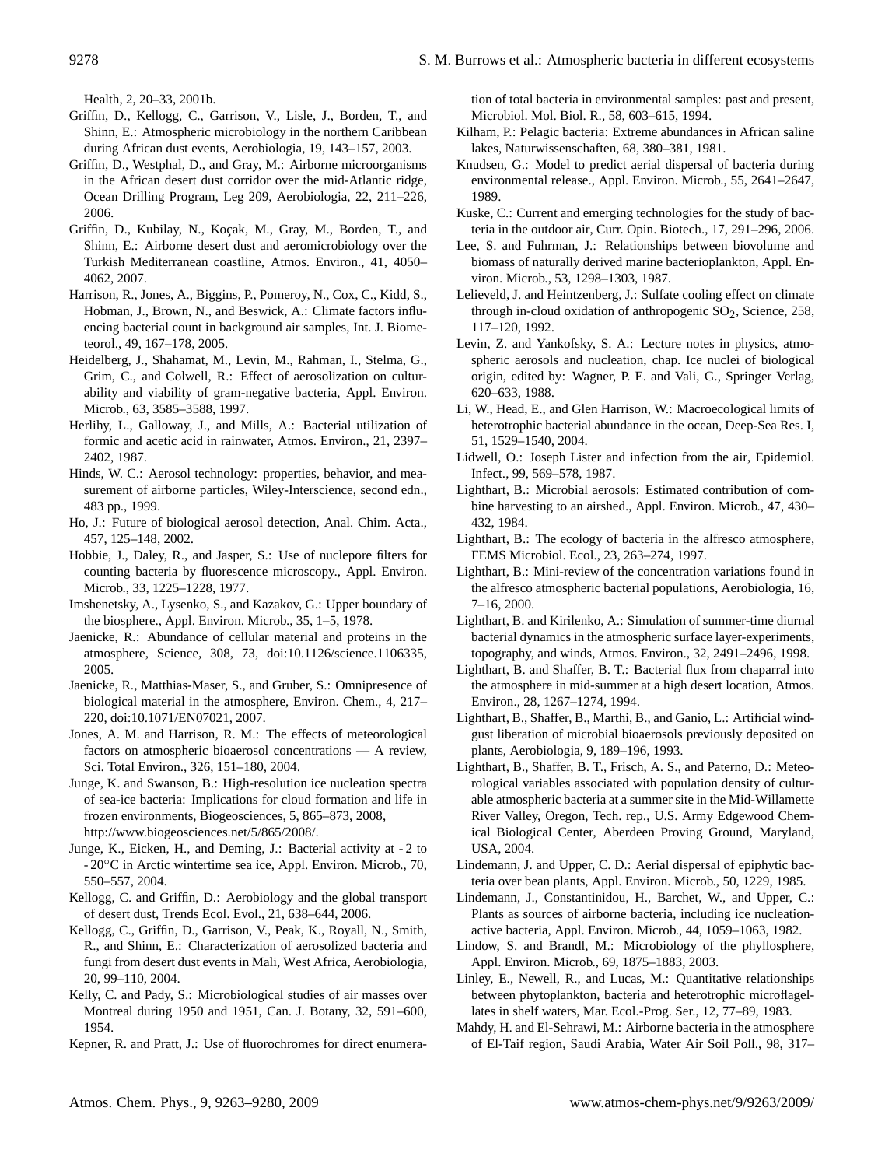Health, 2, 20–33, 2001b.

- <span id="page-15-29"></span>Griffin, D., Kellogg, C., Garrison, V., Lisle, J., Borden, T., and Shinn, E.: Atmospheric microbiology in the northern Caribbean during African dust events, Aerobiologia, 19, 143–157, 2003.
- <span id="page-15-2"></span>Griffin, D., Westphal, D., and Gray, M.: Airborne microorganisms in the African desert dust corridor over the mid-Atlantic ridge, Ocean Drilling Program, Leg 209, Aerobiologia, 22, 211–226, 2006.
- <span id="page-15-30"></span>Griffin, D., Kubilay, N., Koçak, M., Gray, M., Borden, T., and Shinn, E.: Airborne desert dust and aeromicrobiology over the Turkish Mediterranean coastline, Atmos. Environ., 41, 4050– 4062, 2007.
- <span id="page-15-21"></span>Harrison, R., Jones, A., Biggins, P., Pomeroy, N., Cox, C., Kidd, S., Hobman, J., Brown, N., and Beswick, A.: Climate factors influencing bacterial count in background air samples, Int. J. Biometeorol., 49, 167–178, 2005.
- <span id="page-15-14"></span>Heidelberg, J., Shahamat, M., Levin, M., Rahman, I., Stelma, G., Grim, C., and Colwell, R.: Effect of aerosolization on culturability and viability of gram-negative bacteria, Appl. Environ. Microb., 63, 3585–3588, 1997.
- <span id="page-15-11"></span>Herlihy, L., Galloway, J., and Mills, A.: Bacterial utilization of formic and acetic acid in rainwater, Atmos. Environ., 21, 2397– 2402, 1987.
- <span id="page-15-13"></span>Hinds, W. C.: Aerosol technology: properties, behavior, and measurement of airborne particles, Wiley-Interscience, second edn., 483 pp., 1999.
- <span id="page-15-17"></span>Ho, J.: Future of biological aerosol detection, Anal. Chim. Acta., 457, 125–148, 2002.
- <span id="page-15-19"></span>Hobbie, J., Daley, R., and Jasper, S.: Use of nuclepore filters for counting bacteria by fluorescence microscopy., Appl. Environ. Microb., 33, 1225–1228, 1977.
- <span id="page-15-3"></span>Imshenetsky, A., Lysenko, S., and Kazakov, G.: Upper boundary of the biosphere., Appl. Environ. Microb., 35, 1–5, 1978.
- <span id="page-15-0"></span>Jaenicke, R.: Abundance of cellular material and proteins in the atmosphere, Science, 308, 73, doi:10.1126/science.1106335, 2005.
- <span id="page-15-1"></span>Jaenicke, R., Matthias-Maser, S., and Gruber, S.: Omnipresence of biological material in the atmosphere, Environ. Chem., 4, 217– 220, doi:10.1071/EN07021, 2007.
- <span id="page-15-7"></span>Jones, A. M. and Harrison, R. M.: The effects of meteorological factors on atmospheric bioaerosol concentrations — A review, Sci. Total Environ., 326, 151–180, 2004.
- <span id="page-15-6"></span>Junge, K. and Swanson, B.: High-resolution ice nucleation spectra of sea-ice bacteria: Implications for cloud formation and life in frozen environments, Biogeosciences, 5, 865–873, 2008, [http://www.biogeosciences.net/5/865/2008/.](http://www.biogeosciences.net/5/865/2008/)
- <span id="page-15-31"></span>Junge, K., Eicken, H., and Deming, J.: Bacterial activity at - 2 to - 20◦C in Arctic wintertime sea ice, Appl. Environ. Microb., 70, 550–557, 2004.
- <span id="page-15-10"></span>Kellogg, C. and Griffin, D.: Aerobiology and the global transport of desert dust, Trends Ecol. Evol., 21, 638–644, 2006.
- Kellogg, C., Griffin, D., Garrison, V., Peak, K., Royall, N., Smith, R., and Shinn, E.: Characterization of aerosolized bacteria and fungi from desert dust events in Mali, West Africa, Aerobiologia, 20, 99–110, 2004.
- <span id="page-15-15"></span>Kelly, C. and Pady, S.: Microbiological studies of air masses over Montreal during 1950 and 1951, Can. J. Botany, 32, 591–600, 1954.
- <span id="page-15-20"></span>Kepner, R. and Pratt, J.: Use of fluorochromes for direct enumera-

tion of total bacteria in environmental samples: past and present, Microbiol. Mol. Biol. R., 58, 603–615, 1994.

- <span id="page-15-35"></span>Kilham, P.: Pelagic bacteria: Extreme abundances in African saline lakes, Naturwissenschaften, 68, 380–381, 1981.
- <span id="page-15-8"></span>Knudsen, G.: Model to predict aerial dispersal of bacteria during environmental release., Appl. Environ. Microb., 55, 2641–2647, 1989.
- <span id="page-15-18"></span>Kuske, C.: Current and emerging technologies for the study of bacteria in the outdoor air, Curr. Opin. Biotech., 17, 291–296, 2006.
- <span id="page-15-34"></span>Lee, S. and Fuhrman, J.: Relationships between biovolume and biomass of naturally derived marine bacterioplankton, Appl. Environ. Microb., 53, 1298–1303, 1987.
- <span id="page-15-12"></span>Lelieveld, J. and Heintzenberg, J.: Sulfate cooling effect on climate through in-cloud oxidation of anthropogenic  $SO_2$ , Science, 258, 117–120, 1992.
- <span id="page-15-5"></span>Levin, Z. and Yankofsky, S. A.: Lecture notes in physics, atmospheric aerosols and nucleation, chap. Ice nuclei of biological origin, edited by: Wagner, P. E. and Vali, G., Springer Verlag, 620–633, 1988.
- <span id="page-15-33"></span>Li, W., Head, E., and Glen Harrison, W.: Macroecological limits of heterotrophic bacterial abundance in the ocean, Deep-Sea Res. I, 51, 1529–1540, 2004.
- <span id="page-15-4"></span>Lidwell, O.: Joseph Lister and infection from the air, Epidemiol. Infect., 99, 569–578, 1987.
- Lighthart, B.: Microbial aerosols: Estimated contribution of combine harvesting to an airshed., Appl. Environ. Microb., 47, 430– 432, 1984.
- <span id="page-15-9"></span>Lighthart, B.: The ecology of bacteria in the alfresco atmosphere, FEMS Microbiol. Ecol., 23, 263–274, 1997.
- <span id="page-15-16"></span>Lighthart, B.: Mini-review of the concentration variations found in the alfresco atmospheric bacterial populations, Aerobiologia, 16, 7–16, 2000.
- <span id="page-15-25"></span>Lighthart, B. and Kirilenko, A.: Simulation of summer-time diurnal bacterial dynamics in the atmospheric surface layer-experiments, topography, and winds, Atmos. Environ., 32, 2491–2496, 1998.
- <span id="page-15-26"></span>Lighthart, B. and Shaffer, B. T.: Bacterial flux from chaparral into the atmosphere in mid-summer at a high desert location, Atmos. Environ., 28, 1267–1274, 1994.
- <span id="page-15-22"></span>Lighthart, B., Shaffer, B., Marthi, B., and Ganio, L.: Artificial windgust liberation of microbial bioaerosols previously deposited on plants, Aerobiologia, 9, 189–196, 1993.
- <span id="page-15-23"></span>Lighthart, B., Shaffer, B. T., Frisch, A. S., and Paterno, D.: Meteorological variables associated with population density of culturable atmospheric bacteria at a summer site in the Mid-Willamette River Valley, Oregon, Tech. rep., U.S. Army Edgewood Chemical Biological Center, Aberdeen Proving Ground, Maryland, USA, 2004.
- <span id="page-15-24"></span>Lindemann, J. and Upper, C. D.: Aerial dispersal of epiphytic bacteria over bean plants, Appl. Environ. Microb., 50, 1229, 1985.
- <span id="page-15-28"></span>Lindemann, J., Constantinidou, H., Barchet, W., and Upper, C.: Plants as sources of airborne bacteria, including ice nucleationactive bacteria, Appl. Environ. Microb., 44, 1059–1063, 1982.
- <span id="page-15-27"></span>Lindow, S. and Brandl, M.: Microbiology of the phyllosphere, Appl. Environ. Microb., 69, 1875–1883, 2003.
- <span id="page-15-32"></span>Linley, E., Newell, R., and Lucas, M.: Quantitative relationships between phytoplankton, bacteria and heterotrophic microflagellates in shelf waters, Mar. Ecol.-Prog. Ser., 12, 77–89, 1983.
- Mahdy, H. and El-Sehrawi, M.: Airborne bacteria in the atmosphere of El-Taif region, Saudi Arabia, Water Air Soil Poll., 98, 317–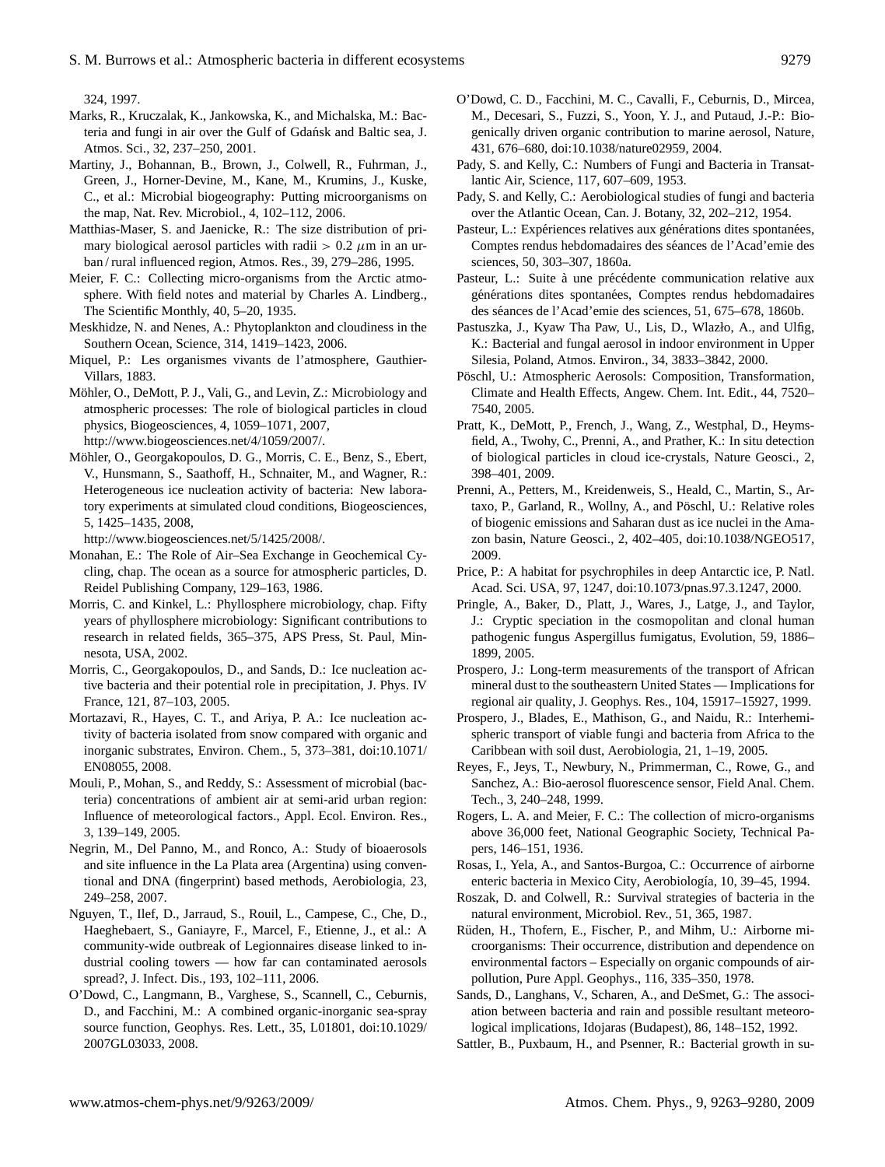324, 1997.

- <span id="page-16-31"></span>Marks, R., Kruczalak, K., Jankowska, K., and Michalska, M.: Bacteria and fungi in air over the Gulf of Gdańsk and Baltic sea, J. Atmos. Sci., 32, 237–250, 2001.
- <span id="page-16-13"></span>Martiny, J., Bohannan, B., Brown, J., Colwell, R., Fuhrman, J., Green, J., Horner-Devine, M., Kane, M., Krumins, J., Kuske, C., et al.: Microbial biogeography: Putting microorganisms on the map, Nat. Rev. Microbiol., 4, 102–112, 2006.
- <span id="page-16-19"></span>Matthias-Maser, S. and Jaenicke, R.: The size distribution of primary biological aerosol particles with radii  $> 0.2 \mu$ m in an urban / rural influenced region, Atmos. Res., 39, 279–286, 1995.
- <span id="page-16-4"></span>Meier, F. C.: Collecting micro-organisms from the Arctic atmosphere. With field notes and material by Charles A. Lindberg., The Scientific Monthly, 40, 5–20, 1935.
- <span id="page-16-29"></span>Meskhidze, N. and Nenes, A.: Phytoplankton and cloudiness in the Southern Ocean, Science, 314, 1419–1423, 2006.
- <span id="page-16-15"></span>Miquel, P.: Les organismes vivants de l'atmosphere, Gauthier-Villars, 1883.
- <span id="page-16-8"></span>Möhler, O., DeMott, P. J., Vali, G., and Levin, Z.: Microbiology and atmospheric processes: The role of biological particles in cloud physics, Biogeosciences, 4, 1059–1071, 2007, [http://www.biogeosciences.net/4/1059/2007/.](http://www.biogeosciences.net/4/1059/2007/)
- <span id="page-16-9"></span>Möhler, O., Georgakopoulos, D. G., Morris, C. E., Benz, S., Ebert, V., Hunsmann, S., Saathoff, H., Schnaiter, M., and Wagner, R.: Heterogeneous ice nucleation activity of bacteria: New laboratory experiments at simulated cloud conditions, Biogeosciences, 5, 1425–1435, 2008,

[http://www.biogeosciences.net/5/1425/2008/.](http://www.biogeosciences.net/5/1425/2008/)

- <span id="page-16-32"></span>Monahan, E.: The Role of Air–Sea Exchange in Geochemical Cycling, chap. The ocean as a source for atmospheric particles, D. Reidel Publishing Company, 129–163, 1986.
- <span id="page-16-24"></span>Morris, C. and Kinkel, L.: Phyllosphere microbiology, chap. Fifty years of phyllosphere microbiology: Significant contributions to research in related fields, 365–375, APS Press, St. Paul, Minnesota, USA, 2002.
- <span id="page-16-7"></span>Morris, C., Georgakopoulos, D., and Sands, D.: Ice nucleation active bacteria and their potential role in precipitation, J. Phys. IV France, 121, 87–103, 2005.
- <span id="page-16-10"></span>Mortazavi, R., Hayes, C. T., and Ariya, P. A.: Ice nucleation activity of bacteria isolated from snow compared with organic and inorganic substrates, Environ. Chem., 5, 373–381, doi:10.1071/ EN08055, 2008.
- <span id="page-16-22"></span>Mouli, P., Mohan, S., and Reddy, S.: Assessment of microbial (bacteria) concentrations of ambient air at semi-arid urban region: Influence of meteorological factors., Appl. Ecol. Environ. Res., 3, 139–149, 2005.
- Negrin, M., Del Panno, M., and Ronco, A.: Study of bioaerosols and site influence in the La Plata area (Argentina) using conventional and DNA (fingerprint) based methods, Aerobiologia, 23, 249–258, 2007.
- <span id="page-16-3"></span>Nguyen, T., Ilef, D., Jarraud, S., Rouil, L., Campese, C., Che, D., Haeghebaert, S., Ganiayre, F., Marcel, F., Etienne, J., et al.: A community-wide outbreak of Legionnaires disease linked to industrial cooling towers — how far can contaminated aerosols spread?, J. Infect. Dis., 193, 102–111, 2006.
- <span id="page-16-27"></span>O'Dowd, C., Langmann, B., Varghese, S., Scannell, C., Ceburnis, D., and Facchini, M.: A combined organic-inorganic sea-spray source function, Geophys. Res. Lett., 35, L01801, doi:10.1029/ 2007GL03033, 2008.
- <span id="page-16-28"></span>O'Dowd, C. D., Facchini, M. C., Cavalli, F., Ceburnis, D., Mircea, M., Decesari, S., Fuzzi, S., Yoon, Y. J., and Putaud, J.-P.: Biogenically driven organic contribution to marine aerosol, Nature, 431, 676–680, doi:10.1038/nature02959, 2004.
- <span id="page-16-30"></span>Pady, S. and Kelly, C.: Numbers of Fungi and Bacteria in Transatlantic Air, Science, 117, 607–609, 1953.
- <span id="page-16-23"></span>Pady, S. and Kelly, C.: Aerobiological studies of fungi and bacteria over the Atlantic Ocean, Can. J. Botany, 32, 202–212, 1954.
- <span id="page-16-1"></span>Pasteur, L.: Expériences relatives aux générations dites spontanées, Comptes rendus hebdomadaires des séances de l'Acad'emie des sciences, 50, 303–307, 1860a.
- <span id="page-16-2"></span>Pasteur, L.: Suite à une précédente communication relative aux générations dites spontanées, Comptes rendus hebdomadaires des séances de l'Acad'emie des sciences, 51, 675–678, 1860b.
- Pastuszka, J., Kyaw Tha Paw, U., Lis, D., Wlazło, A., and Ulfig, K.: Bacterial and fungal aerosol in indoor environment in Upper Silesia, Poland, Atmos. Environ., 34, 3833–3842, 2000.
- <span id="page-16-17"></span>Pöschl, U.: Atmospheric Aerosols: Composition, Transformation, Climate and Health Effects, Angew. Chem. Int. Edit., 44, 7520– 7540, 2005.
- <span id="page-16-11"></span>Pratt, K., DeMott, P., French, J., Wang, Z., Westphal, D., Heymsfield, A., Twohy, C., Prenni, A., and Prather, K.: In situ detection of biological particles in cloud ice-crystals, Nature Geosci., 2, 398–401, 2009.
- <span id="page-16-12"></span>Prenni, A., Petters, M., Kreidenweis, S., Heald, C., Martin, S., Artaxo, P., Garland, R., Wollny, A., and Pöschl, U.: Relative roles of biogenic emissions and Saharan dust as ice nuclei in the Amazon basin, Nature Geosci., 2, 402–405, doi:10.1038/NGEO517, 2009.
- <span id="page-16-26"></span>Price, P.: A habitat for psychrophiles in deep Antarctic ice, P. Natl. Acad. Sci. USA, 97, 1247, doi:10.1073/pnas.97.3.1247, 2000.
- <span id="page-16-14"></span>Pringle, A., Baker, D., Platt, J., Wares, J., Latge, J., and Taylor, J.: Cryptic speciation in the cosmopolitan and clonal human pathogenic fungus Aspergillus fumigatus, Evolution, 59, 1886– 1899, 2005.
- <span id="page-16-25"></span>Prospero, J.: Long-term measurements of the transport of African mineral dust to the southeastern United States — Implications for regional air quality, J. Geophys. Res., 104, 15917–15927, 1999.
- <span id="page-16-0"></span>Prospero, J., Blades, E., Mathison, G., and Naidu, R.: Interhemispheric transport of viable fungi and bacteria from Africa to the Caribbean with soil dust, Aerobiologia, 21, 1–19, 2005.
- <span id="page-16-20"></span>Reyes, F., Jeys, T., Newbury, N., Primmerman, C., Rowe, G., and Sanchez, A.: Bio-aerosol fluorescence sensor, Field Anal. Chem. Tech., 3, 240–248, 1999.
- <span id="page-16-5"></span>Rogers, L. A. and Meier, F. C.: The collection of micro-organisms above 36,000 feet, National Geographic Society, Technical Papers, 146–151, 1936.
- <span id="page-16-21"></span>Rosas, I., Yela, A., and Santos-Burgoa, C.: Occurrence of airborne enteric bacteria in Mexico City, Aerobiología, 10, 39–45, 1994.
- <span id="page-16-18"></span>Roszak, D. and Colwell, R.: Survival strategies of bacteria in the natural environment, Microbiol. Rev., 51, 365, 1987.
- Rüden, H., Thofern, E., Fischer, P., and Mihm, U.: Airborne microorganisms: Their occurrence, distribution and dependence on environmental factors – Especially on organic compounds of airpollution, Pure Appl. Geophys., 116, 335–350, 1978.
- <span id="page-16-6"></span>Sands, D., Langhans, V., Scharen, A., and DeSmet, G.: The association between bacteria and rain and possible resultant meteorological implications, Idojaras (Budapest), 86, 148–152, 1992.
- <span id="page-16-16"></span>Sattler, B., Puxbaum, H., and Psenner, R.: Bacterial growth in su-